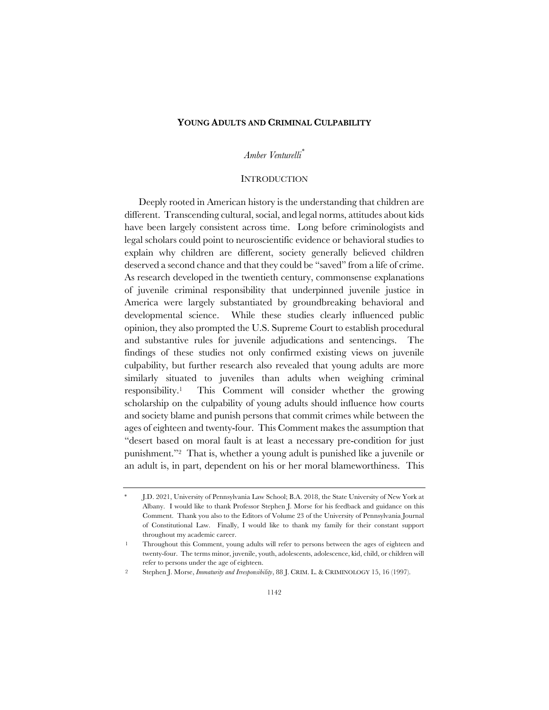#### **YOUNG ADULTS AND CRIMINAL CULPABILITY**

# *Amber Venturelli \**

#### **INTRODUCTION**

Deeply rooted in American history is the understanding that children are different. Transcending cultural, social, and legal norms, attitudes about kids have been largely consistent across time. Long before criminologists and legal scholars could point to neuroscientific evidence or behavioral studies to explain why children are different, society generally believed children deserved a second chance and that they could be "saved" from a life of crime. As research developed in the twentieth century, commonsense explanations of juvenile criminal responsibility that underpinned juvenile justice in America were largely substantiated by groundbreaking behavioral and developmental science. While these studies clearly influenced public opinion, they also prompted the U.S. Supreme Court to establish procedural and substantive rules for juvenile adjudications and sentencings. The findings of these studies not only confirmed existing views on juvenile culpability, but further research also revealed that young adults are more similarly situated to juveniles than adults when weighing criminal responsibility.1 This Comment will consider whether the growing scholarship on the culpability of young adults should influence how courts and society blame and punish persons that commit crimes while between the ages of eighteen and twenty-four. This Comment makes the assumption that "desert based on moral fault is at least a necessary pre-condition for just punishment."2 That is, whether a young adult is punished like a juvenile or an adult is, in part, dependent on his or her moral blameworthiness. This

<sup>\*</sup> J.D. 2021, University of Pennsylvania Law School; B.A. 2018, the State University of New York at Albany. I would like to thank Professor Stephen J. Morse for his feedback and guidance on this Comment. Thank you also to the Editors of Volume 23 of the University of Pennsylvania Journal of Constitutional Law. Finally, I would like to thank my family for their constant support throughout my academic career.

<sup>1</sup> Throughout this Comment, young adults will refer to persons between the ages of eighteen and twenty-four. The terms minor, juvenile, youth, adolescents, adolescence, kid, child, or children will refer to persons under the age of eighteen.

<sup>2</sup> Stephen J. Morse, *Immaturity and Irresponsibility*, 88 J. CRIM. L. & CRIMINOLOGY 15, 16 (1997).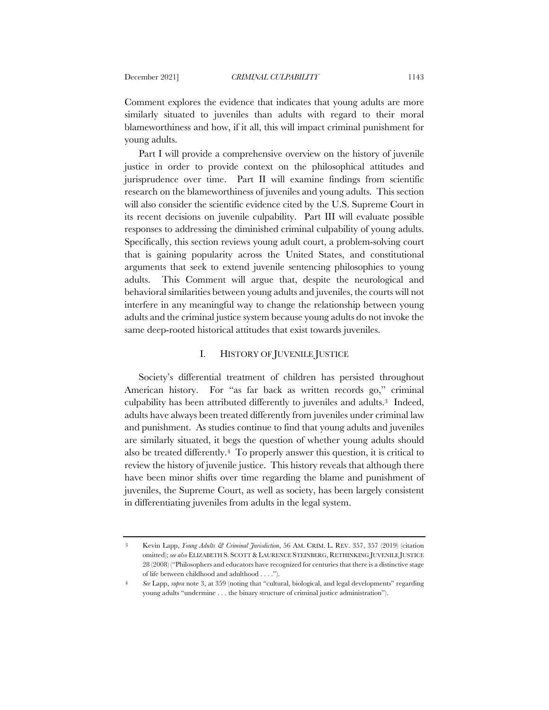Comment explores the evidence that indicates that young adults are more similarly situated to juveniles than adults with regard to their moral blameworthiness and how, if it all, this will impact criminal punishment for young adults.

Part I will provide a comprehensive overview on the history of juvenile justice in order to provide context on the philosophical attitudes and jurisprudence over time. Part II will examine findings from scientific research on the blameworthiness of juveniles and young adults. This section will also consider the scientific evidence cited by the U.S. Supreme Court in its recent decisions on juvenile culpability. Part III will evaluate possible responses to addressing the diminished criminal culpability of young adults. Specifically, this section reviews young adult court, a problem-solving court that is gaining popularity across the United States, and constitutional arguments that seek to extend juvenile sentencing philosophies to young adults. This Comment will argue that, despite the neurological and behavioral similarities between young adults and juveniles, the courts will not interfere in any meaningful way to change the relationship between young adults and the criminal justice system because young adults do not invoke the same deep-rooted historical attitudes that exist towards juveniles.

# I. HISTORY OF JUVENILE JUSTICE

Society's differential treatment of children has persisted throughout American history. For "as far back as written records go," criminal culpability has been attributed differently to juveniles and adults.3 Indeed, adults have always been treated differently from juveniles under criminal law and punishment. As studies continue to find that young adults and juveniles are similarly situated, it begs the question of whether young adults should also be treated differently.4 To properly answer this question, it is critical to review the history of juvenile justice. This history reveals that although there have been minor shifts over time regarding the blame and punishment of juveniles, the Supreme Court, as well as society, has been largely consistent in differentiating juveniles from adults in the legal system.

<sup>3</sup> Kevin Lapp, *Young Adults & Criminal Jurisdiction*, 56 AM. CRIM. L. REV. 357, 357 (2019) (citation omitted); *see also* ELIZABETH S. SCOTT &LAURENCE STEINBERG, RETHINKING JUVENILE JUSTICE 28 (2008) ("Philosophers and educators have recognized for centuries that there is a distinctive stage of life between childhood and adulthood . . . .").

<sup>4</sup> *See* Lapp, *supra* note 3, at 359 (noting that "cultural, biological, and legal developments" regarding young adults "undermine . . . the binary structure of criminal justice administration").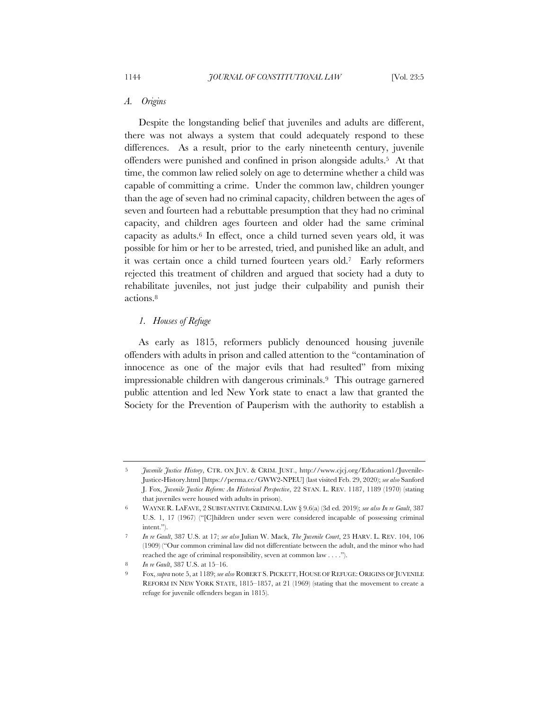### *A. Origins*

Despite the longstanding belief that juveniles and adults are different, there was not always a system that could adequately respond to these differences. As a result, prior to the early nineteenth century, juvenile offenders were punished and confined in prison alongside adults.5 At that time, the common law relied solely on age to determine whether a child was capable of committing a crime. Under the common law, children younger than the age of seven had no criminal capacity, children between the ages of seven and fourteen had a rebuttable presumption that they had no criminal capacity, and children ages fourteen and older had the same criminal capacity as adults.6 In effect, once a child turned seven years old, it was possible for him or her to be arrested, tried, and punished like an adult, and it was certain once a child turned fourteen years old.7 Early reformers rejected this treatment of children and argued that society had a duty to rehabilitate juveniles, not just judge their culpability and punish their actions.8

# *1. Houses of Refuge*

As early as 1815, reformers publicly denounced housing juvenile offenders with adults in prison and called attention to the "contamination of innocence as one of the major evils that had resulted" from mixing impressionable children with dangerous criminals.9 This outrage garnered public attention and led New York state to enact a law that granted the Society for the Prevention of Pauperism with the authority to establish a

<sup>5</sup> *Juvenile Justice History*, CTR. ON JUV. & CRIM. JUST., http://www.cjcj.org/Education1/Juvenile-Justice-History.html [https://perma.cc/GWW2-NPEU] (last visited Feb. 29, 2020); *see also* Sanford J. Fox, *Juvenile Justice Reform: An Historical Perspective*, 22 STAN. L. REV. 1187, 1189 (1970) (stating that juveniles were housed with adults in prison).

<sup>6</sup> WAYNE R. LAFAVE, 2 SUBSTANTIVE CRIMINAL LAW § 9.6(a) (3d ed. 2019); *see also In re Gault*, 387 U.S. 1, 17 (1967) ("[C]hildren under seven were considered incapable of possessing criminal intent.").

<sup>7</sup> *In re Gault*, 387 U.S. at 17; *see also* Julian W. Mack, *The Juvenile Court*, 23 HARV. L. REV. 104, 106 (1909) ("Our common criminal law did not differentiate between the adult, and the minor who had reached the age of criminal responsibility, seven at common law . . . .").

<sup>8</sup> *In re Gault*, 387 U.S. at 15–16.

<sup>9</sup> Fox, *supra* note 5, at 1189; *see also* ROBERT S. PICKETT, HOUSE OF REFUGE: ORIGINS OF JUVENILE REFORM IN NEW YORK STATE, 1815–1857, at 21 (1969) (stating that the movement to create a refuge for juvenile offenders began in 1815).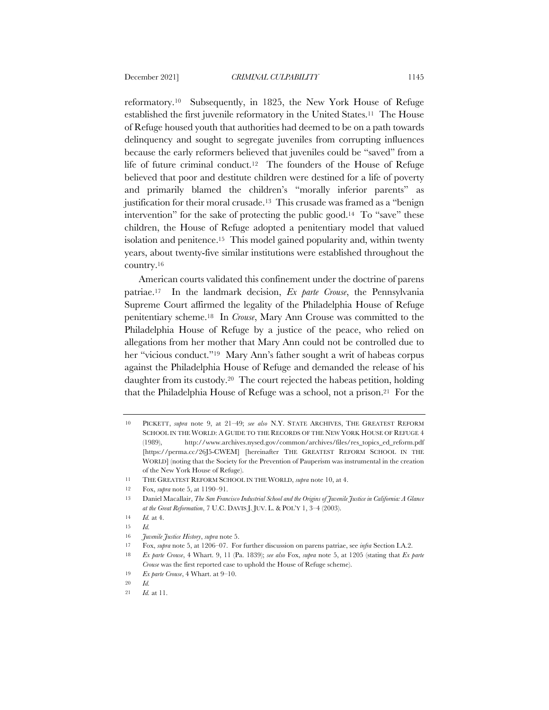reformatory.10 Subsequently, in 1825, the New York House of Refuge established the first juvenile reformatory in the United States.11 The House of Refuge housed youth that authorities had deemed to be on a path towards delinquency and sought to segregate juveniles from corrupting influences because the early reformers believed that juveniles could be "saved" from a life of future criminal conduct.12 The founders of the House of Refuge believed that poor and destitute children were destined for a life of poverty and primarily blamed the children's "morally inferior parents" as justification for their moral crusade.13 This crusade was framed as a "benign intervention" for the sake of protecting the public good.14 To "save" these children, the House of Refuge adopted a penitentiary model that valued isolation and penitence.15 This model gained popularity and, within twenty years, about twenty-five similar institutions were established throughout the country.16

American courts validated this confinement under the doctrine of parens patriae.17 In the landmark decision, *Ex parte Crouse*, the Pennsylvania Supreme Court affirmed the legality of the Philadelphia House of Refuge penitentiary scheme.18 In *Crouse*, Mary Ann Crouse was committed to the Philadelphia House of Refuge by a justice of the peace, who relied on allegations from her mother that Mary Ann could not be controlled due to her "vicious conduct."19 Mary Ann's father sought a writ of habeas corpus against the Philadelphia House of Refuge and demanded the release of his daughter from its custody.20 The court rejected the habeas petition, holding that the Philadelphia House of Refuge was a school, not a prison.21 For the

<sup>10</sup> PICKETT, *supra* note 9, at 21–49; *see also* N.Y. STATE ARCHIVES, THE GREATEST REFORM SCHOOL IN THE WORLD: A GUIDE TO THE RECORDS OF THE NEW YORK HOUSE OF REFUGE 4 (1989), http://www.archives.nysed.gov/common/archives/files/res\_topics\_ed\_reform.pdf [https://perma.cc/26J5-CWEM] [hereinafter THE GREATEST REFORM SCHOOL IN THE WORLD] (noting that the Society for the Prevention of Pauperism was instrumental in the creation of the New York House of Refuge).

<sup>11</sup> THE GREATEST REFORM SCHOOL IN THE WORLD, *supra* note 10, at 4.

<sup>12</sup> Fox, *supra* note 5, at 1190–91.

<sup>13</sup> Daniel Macallair, *The San Francisco Industrial School and the Origins of Juvenile Justice in California: A Glance at the Great Reformation*, 7 U.C. DAVIS J. JUV. L. & POL'Y 1, 3–4 (2003).

<sup>14</sup> *Id.* at 4.

<sup>15</sup> *Id.*

<sup>16</sup> *Juvenile Justice History*, *supra* note 5.

<sup>17</sup> Fox, *supra* note 5, at 1206–07. For further discussion on parens patriae, see *infra* Section I.A.2.

<sup>18</sup> *Ex parte Crouse*, 4 Whart. 9, 11 (Pa. 1839); *see also* Fox, *supra* note 5, at 1205 (stating that *Ex parte Crouse* was the first reported case to uphold the House of Refuge scheme).

<sup>19</sup> *Ex parte Crouse*, 4 Whart. at 9–10.

<sup>20</sup> *Id.*

<sup>21</sup> *Id.* at 11.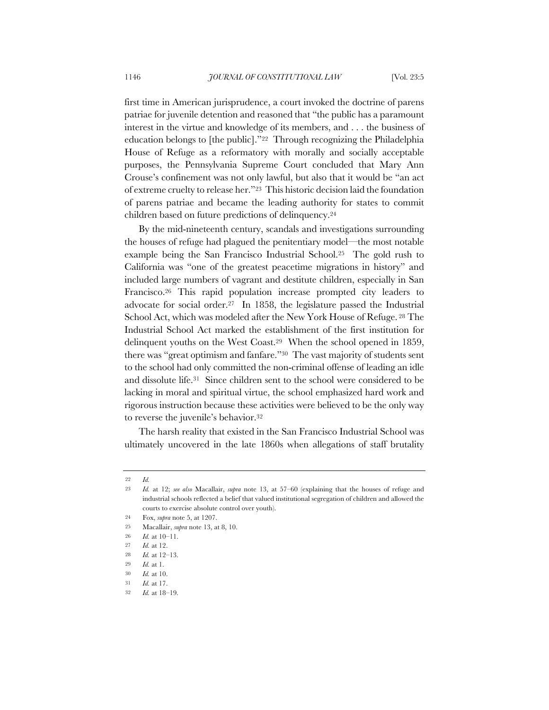first time in American jurisprudence, a court invoked the doctrine of parens patriae for juvenile detention and reasoned that "the public has a paramount interest in the virtue and knowledge of its members, and . . . the business of education belongs to [the public]."22 Through recognizing the Philadelphia House of Refuge as a reformatory with morally and socially acceptable purposes, the Pennsylvania Supreme Court concluded that Mary Ann Crouse's confinement was not only lawful, but also that it would be "an act of extreme cruelty to release her."23 This historic decision laid the foundation of parens patriae and became the leading authority for states to commit children based on future predictions of delinquency.24

By the mid-nineteenth century, scandals and investigations surrounding the houses of refuge had plagued the penitentiary model—the most notable example being the San Francisco Industrial School.25 The gold rush to California was "one of the greatest peacetime migrations in history" and included large numbers of vagrant and destitute children, especially in San Francisco.26 This rapid population increase prompted city leaders to advocate for social order.27 In 1858, the legislature passed the Industrial School Act, which was modeled after the New York House of Refuge. <sup>28</sup> The Industrial School Act marked the establishment of the first institution for delinquent youths on the West Coast.29 When the school opened in 1859, there was "great optimism and fanfare."30 The vast majority of students sent to the school had only committed the non-criminal offense of leading an idle and dissolute life.31 Since children sent to the school were considered to be lacking in moral and spiritual virtue, the school emphasized hard work and rigorous instruction because these activities were believed to be the only way to reverse the juvenile's behavior.32

The harsh reality that existed in the San Francisco Industrial School was ultimately uncovered in the late 1860s when allegations of staff brutality

<sup>22</sup> *Id.*

<sup>23</sup> *Id.* at 12; *see also* Macallair, *supra* note 13, at 57–60 (explaining that the houses of refuge and industrial schools reflected a belief that valued institutional segregation of children and allowed the courts to exercise absolute control over youth).

<sup>24</sup> Fox, *supra* note 5, at 1207.

<sup>25</sup> Macallair, *supra* note 13, at 8, 10.

<sup>26</sup> *Id.* at 10–11.

<sup>27</sup> *Id.* at 12.

<sup>28</sup> *Id.* at 12–13.

<sup>29</sup> *Id.* at 1.

<sup>30</sup> *Id.* at 10.

<sup>31</sup> *Id.* at 17.

<sup>32</sup> *Id.* at 18–19.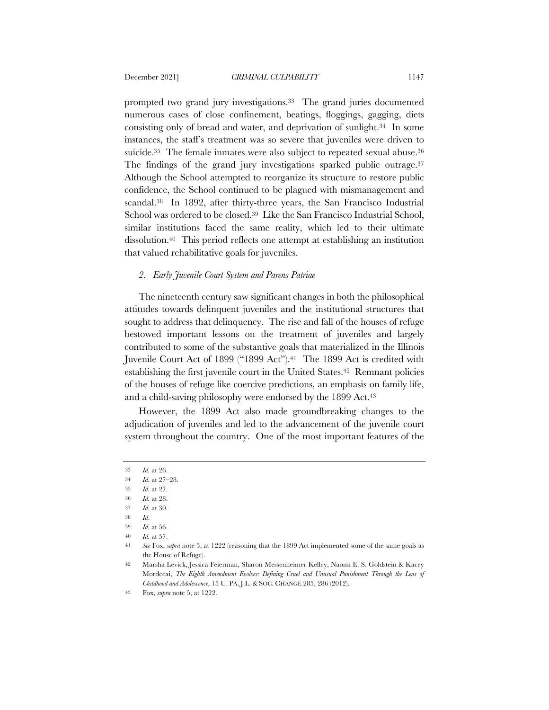prompted two grand jury investigations.33 The grand juries documented numerous cases of close confinement, beatings, floggings, gagging, diets consisting only of bread and water, and deprivation of sunlight.34 In some instances, the staff's treatment was so severe that juveniles were driven to suicide.<sup>35</sup> The female inmates were also subject to repeated sexual abuse.<sup>36</sup> The findings of the grand jury investigations sparked public outrage.<sup>37</sup> Although the School attempted to reorganize its structure to restore public confidence, the School continued to be plagued with mismanagement and scandal.38 In 1892, after thirty-three years, the San Francisco Industrial School was ordered to be closed.39 Like the San Francisco Industrial School, similar institutions faced the same reality, which led to their ultimate dissolution.40 This period reflects one attempt at establishing an institution that valued rehabilitative goals for juveniles.

# *2. Early Juvenile Court System and Parens Patriae*

The nineteenth century saw significant changes in both the philosophical attitudes towards delinquent juveniles and the institutional structures that sought to address that delinquency. The rise and fall of the houses of refuge bestowed important lessons on the treatment of juveniles and largely contributed to some of the substantive goals that materialized in the Illinois Juvenile Court Act of 1899 ("1899 Act").<sup>41</sup> The 1899 Act is credited with establishing the first juvenile court in the United States.<sup>42</sup> Remnant policies of the houses of refuge like coercive predictions, an emphasis on family life, and a child-saving philosophy were endorsed by the 1899 Act.43

However, the 1899 Act also made groundbreaking changes to the adjudication of juveniles and led to the advancement of the juvenile court system throughout the country. One of the most important features of the

<sup>33</sup> *Id.* at 26.

<sup>34</sup> *Id.* at 27–28.

<sup>35</sup> *Id.* at 27.

<sup>36</sup> *Id.* at 28.

<sup>37</sup> *Id.* at 30. 38 *Id*.

<sup>39</sup> *Id.* at 56.

<sup>40</sup> *Id.* at 57.

<sup>41</sup> *See* Fox, *supra* note 5, at 1222 (reasoning that the 1899 Act implemented some of the same goals as the House of Refuge).

<sup>42</sup> Marsha Levick, Jessica Feierman, Sharon Messenheimer Kelley, Naomi E. S. Goldstein & Kacey Mordecai, *The Eighth Amendment Evolves: Defining Cruel and Unusual Punishment Through the Lens of Childhood and Adolescence*, 15 U. PA. J.L. & SOC. CHANGE 285, 286 (2012).

<sup>43</sup> Fox, *supra* note 5, at 1222.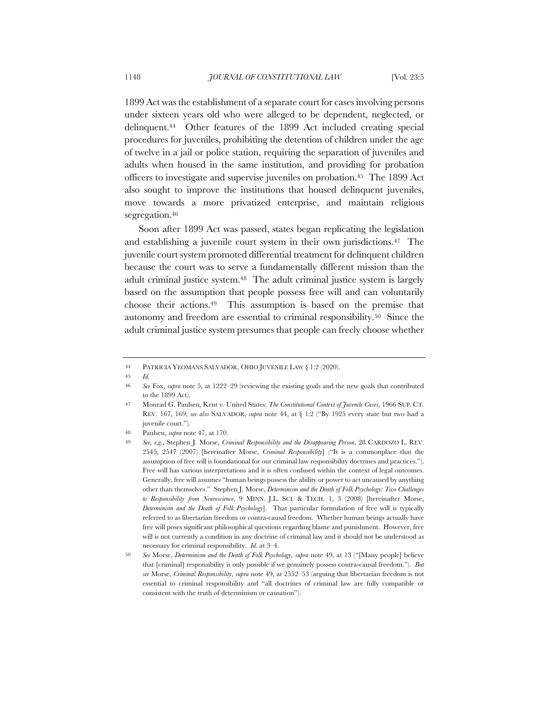1899 Act was the establishment of a separate court for cases involving persons under sixteen years old who were alleged to be dependent, neglected, or delinquent.44 Other features of the 1899 Act included creating special procedures for juveniles, prohibiting the detention of children under the age of twelve in a jail or police station, requiring the separation of juveniles and adults when housed in the same institution, and providing for probation officers to investigate and supervise juveniles on probation.45 The 1899 Act also sought to improve the institutions that housed delinquent juveniles, move towards a more privatized enterprise, and maintain religious segregation.46

Soon after 1899 Act was passed, states began replicating the legislation and establishing a juvenile court system in their own jurisdictions.47 The juvenile court system promoted differential treatment for delinquent children because the court was to serve a fundamentally different mission than the adult criminal justice system.48 The adult criminal justice system is largely based on the assumption that people possess free will and can voluntarily choose their actions.49 This assumption is based on the premise that autonomy and freedom are essential to criminal responsibility.50 Since the adult criminal justice system presumes that people can freely choose whether

<sup>44</sup> PATRICIA YEOMANS SALVADOR, OHIO JUVENILE LAW § 1:2 (2020).

<sup>45</sup> *Id.*

<sup>46</sup> *See* Fox, *supra* note 5, at 1222–29 (reviewing the existing goals and the new goals that contributed to the 1899 Act).

<sup>47</sup> Monrad G. Paulsen, Kent v. United States: *The Constitutional Context of Juvenile Cases*, 1966 SUP. CT. REV. 167, 169; *see also* SALVADOR, *supra* note 44, at § 1:2 ("By 1925 every state but two had a iuvenile court.").

<sup>48</sup> Paulsen, *supra* note 47, at 170.

<sup>49</sup> *See, e.g.*, Stephen J. Morse, *Criminal Responsibility and the Disappearing Person*, 28 CARDOZO L. REV. 2545, 2547 (2007) [hereinafter Morse, *Criminal Responsibility*] ("It is a commonplace that the assumption of free will is foundational for our criminal law responsibility doctrines and practices."). Free will has various interpretations and it is often confused within the context of legal outcomes. Generally, free will assumes "human beings possess the ability or power to act uncaused by anything other than themselves." Stephen J. Morse, *Determinism and the Death of Folk Psychology: Two Challenges to Responsibility from Neuroscience*, 9 MINN. J.L. SCI. & TECH. 1, 3 (2008) [hereinafter Morse, *Determinism and the Death of Folk Psychology*]. That particular formulation of free will is typically referred to as libertarian freedom or contra-causal freedom. Whether human beings actually have free will poses significant philosophical questions regarding blame and punishment. However, free will is not currently a condition in any doctrine of criminal law and it should not be understood as necessary for criminal responsibility. *Id.* at 3–4.

<sup>50</sup> *See* Morse, *Determinism and the Death of Folk Psychology*, *supra* note 49, at 13 ("[Many people] believe that [criminal] responsibility is only possible if we genuinely possess contra-causal freedom."). *But see* Morse, *Criminal Responsibility*, *supra* note 49, at 2552–53 (arguing that libertarian freedom is not essential to criminal responsibility and "all doctrines of criminal law are fully compatible or consistent with the truth of determinism or causation").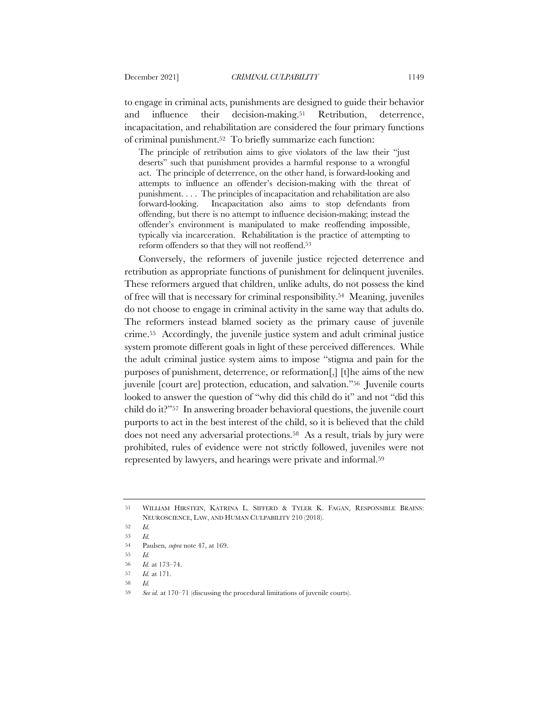to engage in criminal acts, punishments are designed to guide their behavior and influence their decision-making.51 Retribution, deterrence, incapacitation, and rehabilitation are considered the four primary functions of criminal punishment.52 To briefly summarize each function:

The principle of retribution aims to give violators of the law their "just deserts" such that punishment provides a harmful response to a wrongful act. The principle of deterrence, on the other hand, is forward-looking and attempts to influence an offender's decision-making with the threat of punishment. . . . The principles of incapacitation and rehabilitation are also forward-looking. Incapacitation also aims to stop defendants from offending, but there is no attempt to influence decision-making; instead the offender's environment is manipulated to make reoffending impossible, typically via incarceration. Rehabilitation is the practice of attempting to reform offenders so that they will not reoffend.53

Conversely, the reformers of juvenile justice rejected deterrence and retribution as appropriate functions of punishment for delinquent juveniles. These reformers argued that children, unlike adults, do not possess the kind of free will that is necessary for criminal responsibility.54 Meaning, juveniles do not choose to engage in criminal activity in the same way that adults do. The reformers instead blamed society as the primary cause of juvenile crime.55 Accordingly, the juvenile justice system and adult criminal justice system promote different goals in light of these perceived differences. While the adult criminal justice system aims to impose "stigma and pain for the purposes of punishment, deterrence, or reformation[,] [t]he aims of the new juvenile [court are] protection, education, and salvation."56 Juvenile courts looked to answer the question of "why did this child do it" and not "did this child do it?"57 In answering broader behavioral questions, the juvenile court purports to act in the best interest of the child, so it is believed that the child does not need any adversarial protections.58 As a result, trials by jury were prohibited, rules of evidence were not strictly followed, juveniles were not represented by lawyers, and hearings were private and informal.59

59 *See id.* at 170–71 (discussing the procedural limitations of juvenile courts).

<sup>51</sup> WILLIAM HIRSTEIN, KATRINA L. SIFFERD & TYLER K. FAGAN, RESPONSIBLE BRAINS: NEUROSCIENCE, LAW, AND HUMAN CULPABILITY 210 (2018).

<sup>52</sup> *Id.*

<sup>53</sup> *Id.*

<sup>54</sup> Paulsen, *supra* note 47, at 169.

<sup>55</sup> *Id.*

<sup>56</sup> *Id.* at 173–74.

<sup>57</sup> *Id.* at 171.

<sup>58</sup> *Id.*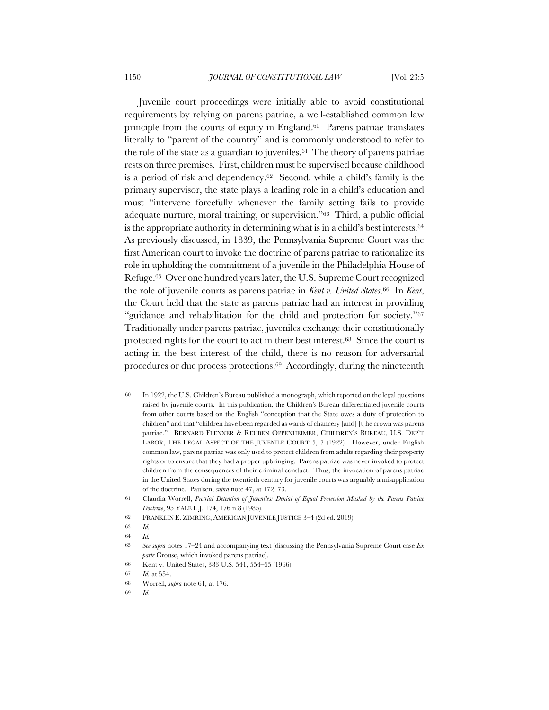Juvenile court proceedings were initially able to avoid constitutional requirements by relying on parens patriae, a well-established common law principle from the courts of equity in England.60 Parens patriae translates literally to "parent of the country" and is commonly understood to refer to the role of the state as a guardian to juveniles.61 The theory of parens patriae rests on three premises. First, children must be supervised because childhood is a period of risk and dependency.62 Second, while a child's family is the primary supervisor, the state plays a leading role in a child's education and must "intervene forcefully whenever the family setting fails to provide adequate nurture, moral training, or supervision."63 Third, a public official is the appropriate authority in determining what is in a child's best interests.64 As previously discussed, in 1839, the Pennsylvania Supreme Court was the first American court to invoke the doctrine of parens patriae to rationalize its role in upholding the commitment of a juvenile in the Philadelphia House of Refuge.65 Over one hundred years later, the U.S. Supreme Court recognized the role of juvenile courts as parens patriae in *Kent v. United States*.66 In *Kent*, the Court held that the state as parens patriae had an interest in providing "guidance and rehabilitation for the child and protection for society."67 Traditionally under parens patriae, juveniles exchange their constitutionally protected rights for the court to act in their best interest.68 Since the court is acting in the best interest of the child, there is no reason for adversarial procedures or due process protections.69 Accordingly, during the nineteenth

64 *Id.*

<sup>60</sup> In 1922, the U.S. Children's Bureau published a monograph, which reported on the legal questions raised by juvenile courts. In this publication, the Children's Bureau differentiated juvenile courts from other courts based on the English "conception that the State owes a duty of protection to children" and that "children have been regarded as wards of chancery [and] [t]he crown was parens patriae." BERNARD FLENXER & REUBEN OPPENHEIMER, CHILDREN'S BUREAU, U.S. DEP'T LABOR, THE LEGAL ASPECT OF THE JUVENILE COURT 5, 7 (1922). However, under English common law, parens patriae was only used to protect children from adults regarding their property rights or to ensure that they had a proper upbringing. Parens patriae was never invoked to protect children from the consequences of their criminal conduct. Thus, the invocation of parens patriae in the United States during the twentieth century for juvenile courts was arguably a misapplication of the doctrine. Paulsen, *supra* note 47, at 172–73.

<sup>61</sup> Claudia Worrell, *Pretrial Detention of Juveniles: Denial of Equal Protection Masked by the Parens Patriae Doctrine*, 95 YALE L.J. 174, 176 n.8 (1985).

<sup>62</sup> FRANKLIN E. ZIMRING, AMERICAN JUVENILE JUSTICE 3–4 (2d ed. 2019).

<sup>63</sup> *Id.*

<sup>65</sup> *See supra* notes 17–24 and accompanying text (discussing the Pennsylvania Supreme Court case *Ex parte* Crouse, which invoked parens patriae).

<sup>66</sup> Kent v. United States, 383 U.S. 541, 554–55 (1966).

<sup>67</sup> *Id.* at 554.

<sup>68</sup> Worrell, *supra* note 61, at 176.

<sup>69</sup> *Id.*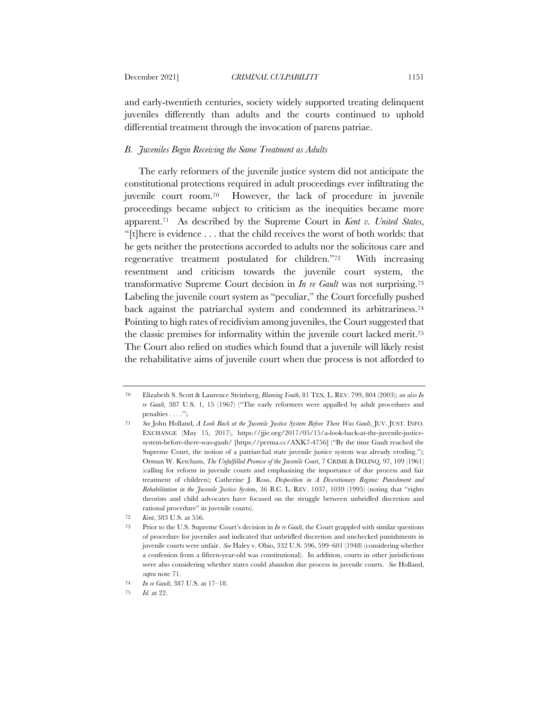and early-twentieth centuries, society widely supported treating delinquent juveniles differently than adults and the courts continued to uphold differential treatment through the invocation of parens patriae.

# *B. Juveniles Begin Receiving the Same Treatment as Adults*

The early reformers of the juvenile justice system did not anticipate the constitutional protections required in adult proceedings ever infiltrating the juvenile court room.70 However, the lack of procedure in juvenile proceedings became subject to criticism as the inequities became more apparent.71 As described by the Supreme Court in *Kent v. United States*, "[t]here is evidence . . . that the child receives the worst of both worlds: that he gets neither the protections accorded to adults nor the solicitous care and regenerative treatment postulated for children."72 With increasing resentment and criticism towards the juvenile court system, the transformative Supreme Court decision in *In re Gault* was not surprising.73 Labeling the juvenile court system as "peculiar," the Court forcefully pushed back against the patriarchal system and condemned its arbitrariness.74 Pointing to high rates of recidivism among juveniles, the Court suggested that the classic premises for informality within the juvenile court lacked merit.75 The Court also relied on studies which found that a juvenile will likely resist the rehabilitative aims of juvenile court when due process is not afforded to

<sup>70</sup> Elizabeth S. Scott & Laurence Steinberg, *Blaming Youth*, 81 TEX. L. REV. 799, 804 (2003); *see also In re Gault*, 387 U.S. 1, 15 (1967) ("The early reformers were appalled by adult procedures and penalties . . . .").

<sup>71</sup> *See* John Holland, *A Look Back at the Juvenile Justice System Before There Was Gault*, JUV. JUST. INFO. EXCHANGE (May 15, 2017), https://jjie.org/2017/05/15/a-look-back-at-the-juvenile-justicesystem-before-there-was-gault/ [https://perma.cc/AXK7-4756] ("By the time Gault reached the Supreme Court, the notion of a patriarchal state juvenile justice system was already eroding."); Orman W. Ketcham, *The Unfulfilled Promise of the Juvenile Court*, 7 CRIME & DELINQ. 97, 109 (1961) (calling for reform in juvenile courts and emphasizing the importance of due process and fair treatment of children); Catherine J. Ross, *Disposition in A Discretionary Regime: Punishment and Rehabilitation in the Juvenile Justice System*, 36 B.C. L. REV. 1037, 1039 (1995) (noting that "rights theorists and child advocates have focused on the struggle between unbridled discretion and rational procedure" in juvenile courts).

<sup>72</sup> *Kent*, 383 U.S. at 556.

<sup>73</sup> Prior to the U.S. Supreme Court's decision in *In re Gault*, the Court grappled with similar questions of procedure for juveniles and indicated that unbridled discretion and unchecked punishments in juvenile courts were unfair. *See* Haley v. Ohio, 332 U.S. 596, 599–601 (1948) (considering whether a confession from a fifteen-year-old was constitutional). In addition, courts in other jurisdictions were also considering whether states could abandon due process in juvenile courts. *See* Holland, *supra* note 71.

<sup>74</sup> *In re Gault*, 387 U.S. at 17–18.

<sup>75</sup> *Id.* at 22.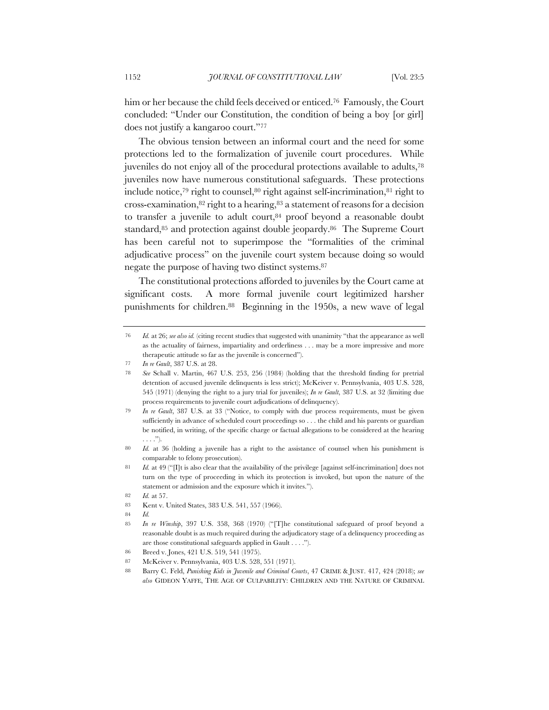him or her because the child feels deceived or enticed.76 Famously, the Court concluded: "Under our Constitution, the condition of being a boy [or girl] does not justify a kangaroo court."77

The obvious tension between an informal court and the need for some protections led to the formalization of juvenile court procedures. While juveniles do not enjoy all of the procedural protections available to adults,78 juveniles now have numerous constitutional safeguards. These protections include notice,79 right to counsel,80 right against self-incrimination,81 right to cross-examination, $82$  right to a hearing, $83$  a statement of reasons for a decision to transfer a juvenile to adult court,<sup>84</sup> proof beyond a reasonable doubt standard,<sup>85</sup> and protection against double jeopardy.<sup>86</sup> The Supreme Court has been careful not to superimpose the "formalities of the criminal adjudicative process" on the juvenile court system because doing so would negate the purpose of having two distinct systems.87

The constitutional protections afforded to juveniles by the Court came at significant costs. A more formal juvenile court legitimized harsher punishments for children.88 Beginning in the 1950s, a new wave of legal

<sup>76</sup> *Id.* at 26; *see also id.* (citing recent studies that suggested with unanimity "that the appearance as well as the actuality of fairness, impartiality and orderliness . . . may be a more impressive and more therapeutic attitude so far as the juvenile is concerned").

<sup>77</sup> *In re Gault*, 387 U.S. at 28.

<sup>78</sup> *See* Schall v. Martin, 467 U.S. 253, 256 (1984) (holding that the threshold finding for pretrial detention of accused juvenile delinquents is less strict); McKeiver v. Pennsylvania, 403 U.S. 528, 545 (1971) (denying the right to a jury trial for juveniles); *In re Gault*, 387 U.S. at 32 (limiting due process requirements to juvenile court adjudications of delinquency).

<sup>79</sup> *In re Gault*, 387 U.S. at 33 ("Notice, to comply with due process requirements, must be given sufficiently in advance of scheduled court proceedings so . . . the child and his parents or guardian be notified, in writing, of the specific charge or factual allegations to be considered at the hearing  $\ldots$ .").

<sup>80</sup> *Id.* at 36 (holding a juvenile has a right to the assistance of counsel when his punishment is comparable to felony prosecution).

<sup>81</sup> *Id.* at 49 ("[I]t is also clear that the availability of the privilege [against self-incrimination] does not turn on the type of proceeding in which its protection is invoked, but upon the nature of the statement or admission and the exposure which it invites.").

<sup>82</sup> *Id.* at 57.

<sup>83</sup> Kent v. United States, 383 U.S. 541, 557 (1966).

<sup>84</sup> *Id.*

<sup>85</sup> *In re Winship*, 397 U.S. 358, 368 (1970) ("[T]he constitutional safeguard of proof beyond a reasonable doubt is as much required during the adjudicatory stage of a delinquency proceeding as are those constitutional safeguards applied in Gault . . . .").

<sup>86</sup> Breed v. Jones, 421 U.S. 519, 541 (1975).

<sup>87</sup> McKeiver v. Pennsylvania, 403 U.S. 528, 551 (1971).

<sup>88</sup> Barry C. Feld, *Punishing Kids in Juvenile and Criminal Courts*, 47 CRIME & JUST. 417, 424 (2018); *see also* GIDEON YAFFE, THE AGE OF CULPABILITY: CHILDREN AND THE NATURE OF CRIMINAL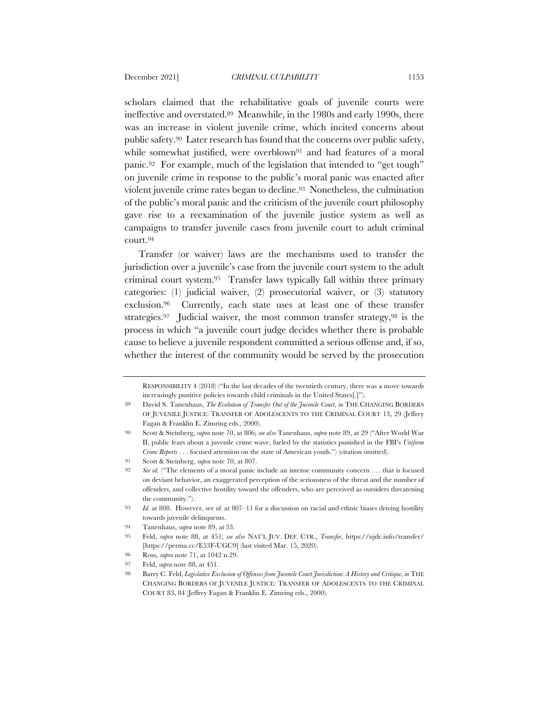scholars claimed that the rehabilitative goals of juvenile courts were ineffective and overstated.89 Meanwhile, in the 1980s and early 1990s, there was an increase in violent juvenile crime, which incited concerns about public safety.90 Later research has found that the concerns over public safety, while somewhat justified, were overblown<sup>91</sup> and had features of a moral panic.92 For example, much of the legislation that intended to "get tough" on juvenile crime in response to the public's moral panic was enacted after violent juvenile crime rates began to decline.93 Nonetheless, the culmination of the public's moral panic and the criticism of the juvenile court philosophy gave rise to a reexamination of the juvenile justice system as well as campaigns to transfer juvenile cases from juvenile court to adult criminal court.94

Transfer (or waiver) laws are the mechanisms used to transfer the jurisdiction over a juvenile's case from the juvenile court system to the adult criminal court system.95 Transfer laws typically fall within three primary categories: (1) judicial waiver, (2) prosecutorial waiver, or (3) statutory exclusion.96 Currently, each state uses at least one of these transfer strategies.97 Judicial waiver, the most common transfer strategy,98 is the process in which "a juvenile court judge decides whether there is probable cause to believe a juvenile respondent committed a serious offense and, if so, whether the interest of the community would be served by the prosecution

91 Scott & Steinberg, *supra* note 70, at 807.

RESPONSIBILITY 4 (2018) ("In the last decades of the twentieth century, there was a move towards increasingly punitive policies towards child criminals in the United States[.]").

<sup>89</sup> David S. Tanenhaus, *The Evolution of Transfer Out of the Juvenile Court*, *in* THE CHANGING BORDERS OF JUVENILE JUSTICE: TRANSFER OF ADOLESCENTS TO THE CRIMINAL COURT 13, 29 (Jeffrey Fagan & Franklin E. Zimring eds., 2000).

<sup>90</sup> Scott & Steinberg, *supra* note 70, at 806; *see also* Tanenhaus, *supra* note 89, at 29 ("After World War II, public fears about a juvenile crime wave, fueled by the statistics punished in the FBI's *Uniform Crime Reports* . . . focused attention on the state of American youth.") (citation omitted).

<sup>92</sup> *See id.* ("The elements of a moral panic include an intense community concern . . . that is focused on deviant behavior, an exaggerated perception of the seriousness of the threat and the number of offenders, and collective hostility toward the offenders, who are perceived as outsiders threatening the community.").

<sup>93</sup> *Id.* at 808. However, see *id.* at 807–11 for a discussion on racial and ethnic biases driving hostility towards juvenile delinquents.

<sup>94</sup> Tanenhaus, *supra* note 89, at 33.

<sup>95</sup> Feld, *supra* note 88, at 451; *see also* NAT'L JUV. DEF. CTR., *Transfer*, https://njdc.info/transfer/ [https://perma.cc/E53F-UGC9] (last visited Mar. 15, 2020).

<sup>96</sup> Ross, *supra* note 71, at 1042 n.29.

<sup>97</sup> Feld, *supra* note 88, at 451.

<sup>98</sup> Barry C. Feld, *Legislative Exclusion of Offenses from Juvenile Court Jurisdiction: A History and Critique*, *in* THE CHANGING BORDERS OF JUVENILE JUSTICE: TRANSFER OF ADOLESCENTS TO THE CRIMINAL COURT 83, 84 (Jeffrey Fagan & Franklin E. Zimring eds., 2000).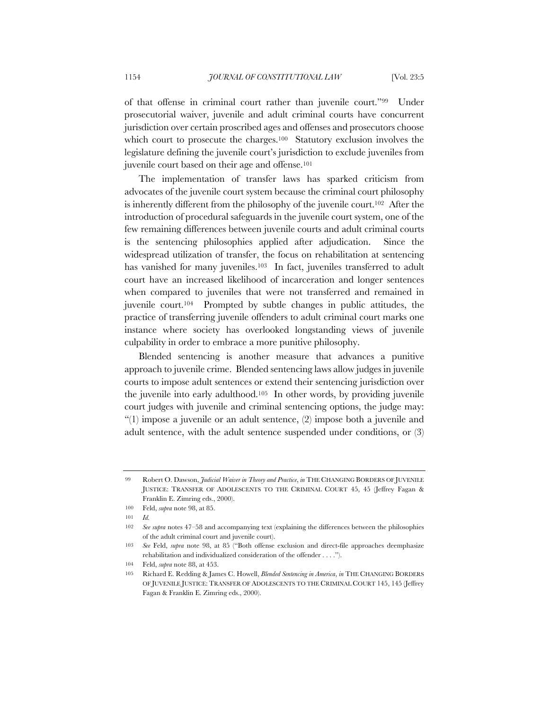of that offense in criminal court rather than juvenile court."99 Under prosecutorial waiver, juvenile and adult criminal courts have concurrent jurisdiction over certain proscribed ages and offenses and prosecutors choose which court to prosecute the charges.<sup>100</sup> Statutory exclusion involves the legislature defining the juvenile court's jurisdiction to exclude juveniles from juvenile court based on their age and offense.101

The implementation of transfer laws has sparked criticism from advocates of the juvenile court system because the criminal court philosophy is inherently different from the philosophy of the juvenile court.102 After the introduction of procedural safeguards in the juvenile court system, one of the few remaining differences between juvenile courts and adult criminal courts is the sentencing philosophies applied after adjudication. Since the widespread utilization of transfer, the focus on rehabilitation at sentencing has vanished for many juveniles.<sup>103</sup> In fact, juveniles transferred to adult court have an increased likelihood of incarceration and longer sentences when compared to juveniles that were not transferred and remained in juvenile court.104 Prompted by subtle changes in public attitudes, the practice of transferring juvenile offenders to adult criminal court marks one instance where society has overlooked longstanding views of juvenile culpability in order to embrace a more punitive philosophy.

Blended sentencing is another measure that advances a punitive approach to juvenile crime. Blended sentencing laws allow judges in juvenile courts to impose adult sentences or extend their sentencing jurisdiction over the juvenile into early adulthood.105 In other words, by providing juvenile court judges with juvenile and criminal sentencing options, the judge may: "(1) impose a juvenile or an adult sentence, (2) impose both a juvenile and adult sentence, with the adult sentence suspended under conditions, or (3)

<sup>99</sup> Robert O. Dawson, *Judicial Waiver in Theory and Practice*, *in* THE CHANGING BORDERS OF JUVENILE JUSTICE: TRANSFER OF ADOLESCENTS TO THE CRIMINAL COURT 45, 45 (Jeffrey Fagan & Franklin E. Zimring eds., 2000).

<sup>100</sup> Feld, *supra* note 98, at 85.

<sup>101</sup> *Id.*

<sup>102</sup> *See supra* notes 47–58 and accompanying text (explaining the differences between the philosophies of the adult criminal court and juvenile court).

<sup>103</sup> *See* Feld, *supra* note 98, at 85 ("Both offense exclusion and direct-file approaches deemphasize rehabilitation and individualized consideration of the offender . . . .").

<sup>104</sup> Feld, *supra* note 88, at 453.

<sup>105</sup> Richard E. Redding & James C. Howell, *Blended Sentencing in America*, *in* THE CHANGING BORDERS OF JUVENILE JUSTICE: TRANSFER OF ADOLESCENTS TO THE CRIMINAL COURT 145, 145 (Jeffrey Fagan & Franklin E. Zimring eds., 2000).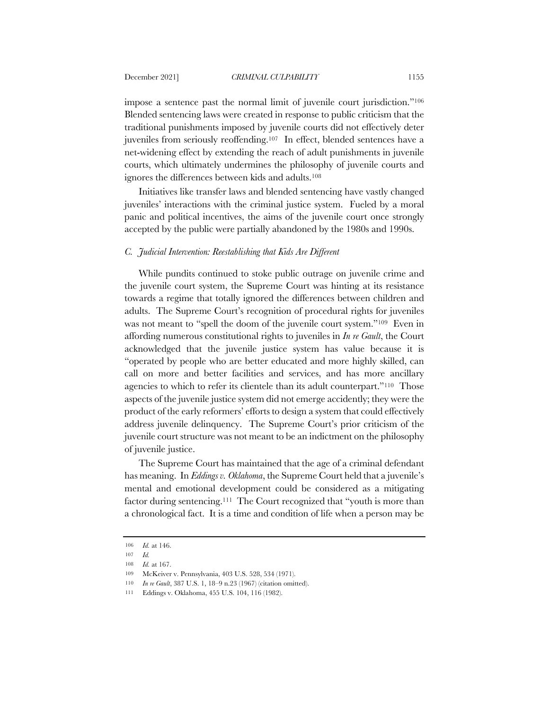impose a sentence past the normal limit of juvenile court jurisdiction."106 Blended sentencing laws were created in response to public criticism that the traditional punishments imposed by juvenile courts did not effectively deter juveniles from seriously reoffending.107 In effect, blended sentences have a net-widening effect by extending the reach of adult punishments in juvenile courts, which ultimately undermines the philosophy of juvenile courts and ignores the differences between kids and adults.108

Initiatives like transfer laws and blended sentencing have vastly changed juveniles' interactions with the criminal justice system. Fueled by a moral panic and political incentives, the aims of the juvenile court once strongly accepted by the public were partially abandoned by the 1980s and 1990s.

# *C. Judicial Intervention: Reestablishing that Kids Are Different*

While pundits continued to stoke public outrage on juvenile crime and the juvenile court system, the Supreme Court was hinting at its resistance towards a regime that totally ignored the differences between children and adults. The Supreme Court's recognition of procedural rights for juveniles was not meant to "spell the doom of the juvenile court system."<sup>109</sup> Even in affording numerous constitutional rights to juveniles in *In re Gault*, the Court acknowledged that the juvenile justice system has value because it is "operated by people who are better educated and more highly skilled, can call on more and better facilities and services, and has more ancillary agencies to which to refer its clientele than its adult counterpart."110 Those aspects of the juvenile justice system did not emerge accidently; they were the product of the early reformers' efforts to design a system that could effectively address juvenile delinquency. The Supreme Court's prior criticism of the juvenile court structure was not meant to be an indictment on the philosophy of juvenile justice.

The Supreme Court has maintained that the age of a criminal defendant has meaning. In *Eddings v. Oklahoma*, the Supreme Court held that a juvenile's mental and emotional development could be considered as a mitigating factor during sentencing.<sup>111</sup> The Court recognized that "youth is more than a chronological fact. It is a time and condition of life when a person may be

<sup>106</sup> *Id.* at 146.

<sup>107</sup> *Id.*

<sup>108</sup> *Id.* at 167.

<sup>109</sup> McKeiver v. Pennsylvania, 403 U.S. 528, 534 (1971).

<sup>110</sup> *In re Gault*, 387 U.S. 1, 18–9 n.23 (1967) (citation omitted).

<sup>111</sup> Eddings v. Oklahoma, 455 U.S. 104, 116 (1982).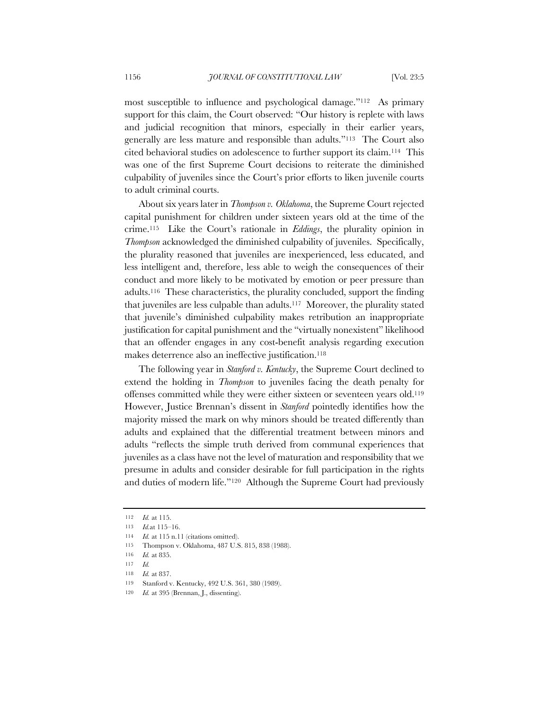most susceptible to influence and psychological damage."112 As primary support for this claim, the Court observed: "Our history is replete with laws and judicial recognition that minors, especially in their earlier years, generally are less mature and responsible than adults."113 The Court also cited behavioral studies on adolescence to further support its claim.114 This was one of the first Supreme Court decisions to reiterate the diminished culpability of juveniles since the Court's prior efforts to liken juvenile courts to adult criminal courts.

About six years later in *Thompson v. Oklahoma*, the Supreme Court rejected capital punishment for children under sixteen years old at the time of the crime.115 Like the Court's rationale in *Eddings*, the plurality opinion in *Thompson* acknowledged the diminished culpability of juveniles. Specifically, the plurality reasoned that juveniles are inexperienced, less educated, and less intelligent and, therefore, less able to weigh the consequences of their conduct and more likely to be motivated by emotion or peer pressure than adults.116 These characteristics, the plurality concluded, support the finding that juveniles are less culpable than adults.117 Moreover, the plurality stated that juvenile's diminished culpability makes retribution an inappropriate justification for capital punishment and the "virtually nonexistent" likelihood that an offender engages in any cost-benefit analysis regarding execution makes deterrence also an ineffective justification.118

The following year in *Stanford v. Kentucky*, the Supreme Court declined to extend the holding in *Thompson* to juveniles facing the death penalty for offenses committed while they were either sixteen or seventeen years old.119 However, Justice Brennan's dissent in *Stanford* pointedly identifies how the majority missed the mark on why minors should be treated differently than adults and explained that the differential treatment between minors and adults "reflects the simple truth derived from communal experiences that juveniles as a class have not the level of maturation and responsibility that we presume in adults and consider desirable for full participation in the rights and duties of modern life."120 Although the Supreme Court had previously

119 Stanford v. Kentucky, 492 U.S. 361, 380 (1989).

<sup>112</sup> *Id.* at 115.

<sup>113</sup> *Id.*at 115–16.

<sup>114</sup> *Id.* at 115 n.11 (citations omitted).

<sup>115</sup> Thompson v. Oklahoma, 487 U.S. 815, 838 (1988).

<sup>116</sup> *Id.* at 835.

<sup>117</sup> *Id.*

<sup>118</sup> *Id.* at 837.

<sup>120</sup> *Id.* at 395 (Brennan, J., dissenting).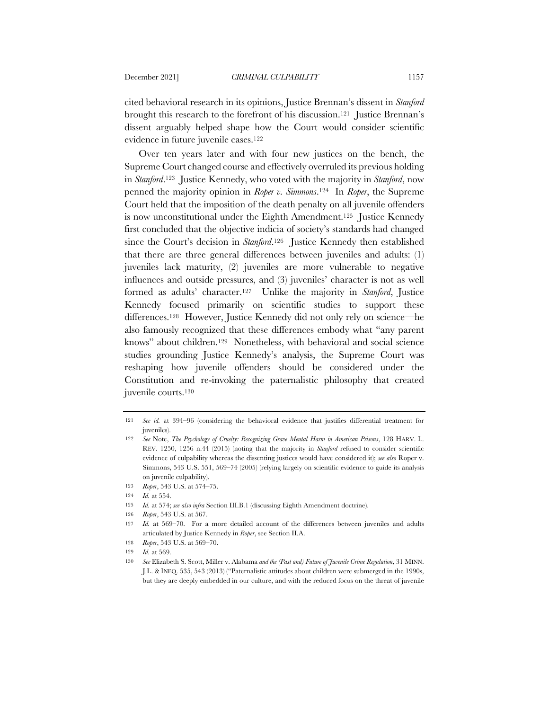cited behavioral research in its opinions, Justice Brennan's dissent in *Stanford* brought this research to the forefront of his discussion.<sup>121</sup> Justice Brennan's dissent arguably helped shape how the Court would consider scientific evidence in future juvenile cases.122

Over ten years later and with four new justices on the bench, the Supreme Court changed course and effectively overruled its previous holding in *Stanford*.123 Justice Kennedy, who voted with the majority in *Stanford*, now penned the majority opinion in *Roper v. Simmons*.124 In *Roper*, the Supreme Court held that the imposition of the death penalty on all juvenile offenders is now unconstitutional under the Eighth Amendment.125 Justice Kennedy first concluded that the objective indicia of society's standards had changed since the Court's decision in *Stanford*.126 Justice Kennedy then established that there are three general differences between juveniles and adults: (1) juveniles lack maturity, (2) juveniles are more vulnerable to negative influences and outside pressures, and (3) juveniles' character is not as well formed as adults' character.127 Unlike the majority in *Stanford*, Justice Kennedy focused primarily on scientific studies to support these differences.128 However, Justice Kennedy did not only rely on science—he also famously recognized that these differences embody what "any parent knows" about children.129 Nonetheless, with behavioral and social science studies grounding Justice Kennedy's analysis, the Supreme Court was reshaping how juvenile offenders should be considered under the Constitution and re-invoking the paternalistic philosophy that created juvenile courts.130

<sup>121</sup> *See id.* at 394–96 (considering the behavioral evidence that justifies differential treatment for juveniles).

<sup>122</sup> *See* Note, *The Psychology of Cruelty: Recognizing Grave Mental Harm in American Prisons*, 128 HARV. L. REV. 1250, 1256 n.44 (2015) (noting that the majority in *Stanford* refused to consider scientific evidence of culpability whereas the dissenting justices would have considered it); *see also* Roper v. Simmons, 543 U.S. 551, 569–74 (2005) (relying largely on scientific evidence to guide its analysis on juvenile culpability).

<sup>123</sup> *Roper*, 543 U.S. at 574–75.

<sup>124</sup> *Id.* at 554.

<sup>125</sup> *Id.* at 574; *see also infra* Section III.B.1 (discussing Eighth Amendment doctrine).

<sup>126</sup> *Roper*, 543 U.S. at 567.

<sup>127</sup> *Id.* at 569–70. For a more detailed account of the differences between juveniles and adults articulated by Justice Kennedy in *Roper*, see Section II.A.

<sup>128</sup> *Roper*, 543 U.S. at 569–70.

<sup>129</sup> *Id.* at 569.

<sup>130</sup> *See* Elizabeth S. Scott, Miller v. Alabama *and the (Past and) Future of Juvenile Crime Regulation*, 31 MINN. J.L. & INEQ. 535, 543 (2013) ("Paternalistic attitudes about children were submerged in the 1990s, but they are deeply embedded in our culture, and with the reduced focus on the threat of juvenile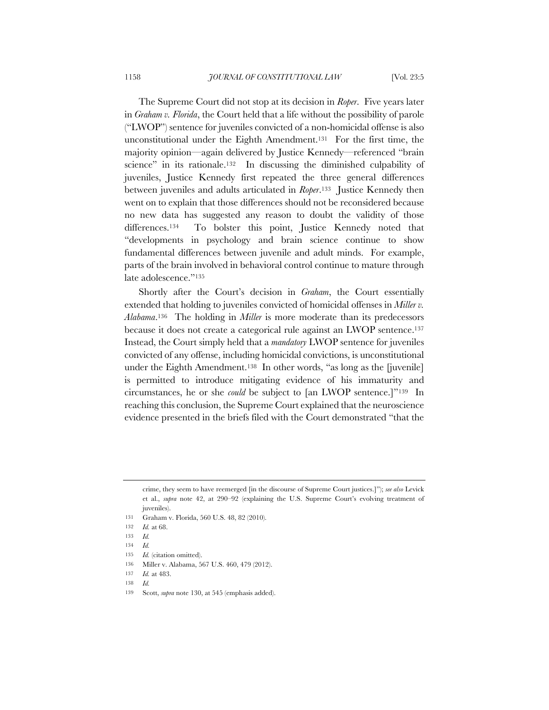The Supreme Court did not stop at its decision in *Roper*. Five years later in *Graham v. Florida*, the Court held that a life without the possibility of parole ("LWOP") sentence for juveniles convicted of a non-homicidal offense is also unconstitutional under the Eighth Amendment.131 For the first time, the majority opinion—again delivered by Justice Kennedy—referenced "brain science" in its rationale.132 In discussing the diminished culpability of juveniles, Justice Kennedy first repeated the three general differences between juveniles and adults articulated in *Roper*.133 Justice Kennedy then went on to explain that those differences should not be reconsidered because no new data has suggested any reason to doubt the validity of those differences.<sup>134</sup> To bolster this point, Justice Kennedy noted that "developments in psychology and brain science continue to show fundamental differences between juvenile and adult minds. For example, parts of the brain involved in behavioral control continue to mature through late adolescence."135

Shortly after the Court's decision in *Graham*, the Court essentially extended that holding to juveniles convicted of homicidal offenses in *Miller v. Alabama*.136 The holding in *Miller* is more moderate than its predecessors because it does not create a categorical rule against an LWOP sentence.<sup>137</sup> Instead, the Court simply held that a *mandatory* LWOP sentence for juveniles convicted of any offense, including homicidal convictions, is unconstitutional under the Eighth Amendment.138 In other words, "as long as the [juvenile] is permitted to introduce mitigating evidence of his immaturity and circumstances, he or she *could* be subject to [an LWOP sentence.]"139 In reaching this conclusion, the Supreme Court explained that the neuroscience evidence presented in the briefs filed with the Court demonstrated "that the

137 *Id.* at 483.

crime, they seem to have reemerged [in the discourse of Supreme Court justices.]"); *see also* Levick et al., *supra* note 42, at 290–92 (explaining the U.S. Supreme Court's evolving treatment of juveniles).

<sup>131</sup> Graham v. Florida, 560 U.S. 48, 82 (2010).

<sup>132</sup> *Id.* at 68.

<sup>133</sup> *Id.*

<sup>134</sup> *Id.*

<sup>135</sup> *Id.* (citation omitted).

<sup>136</sup> Miller v. Alabama, 567 U.S. 460, 479 (2012).

<sup>138</sup> *Id.*

<sup>139</sup> Scott, *supra* note 130, at 545 (emphasis added).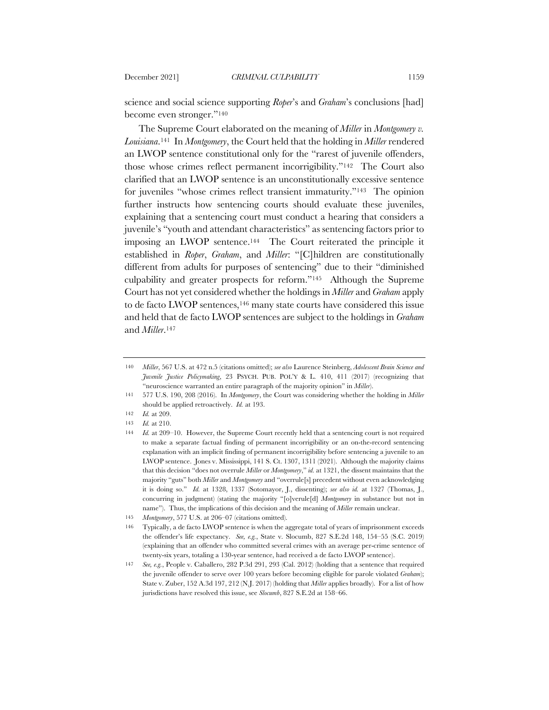science and social science supporting *Roper*'s and *Graham*'s conclusions [had] become even stronger."140

The Supreme Court elaborated on the meaning of *Miller* in *Montgomery v. Louisiana*.141 In *Montgomery*, the Court held that the holding in *Miller* rendered an LWOP sentence constitutional only for the "rarest of juvenile offenders, those whose crimes reflect permanent incorrigibility."142 The Court also clarified that an LWOP sentence is an unconstitutionally excessive sentence for juveniles "whose crimes reflect transient immaturity."143 The opinion further instructs how sentencing courts should evaluate these juveniles, explaining that a sentencing court must conduct a hearing that considers a juvenile's "youth and attendant characteristics" as sentencing factors prior to imposing an LWOP sentence.144 The Court reiterated the principle it established in *Roper*, *Graham*, and *Miller*: "[C]hildren are constitutionally different from adults for purposes of sentencing" due to their "diminished culpability and greater prospects for reform."145 Although the Supreme Court has not yet considered whether the holdings in *Miller* and *Graham* apply to de facto LWOP sentences,<sup>146</sup> many state courts have considered this issue and held that de facto LWOP sentences are subject to the holdings in *Graham* and *Miller*.147

<sup>140</sup> *Miller*, 567 U.S. at 472 n.5 (citations omitted); *see also* Laurence Steinberg, *Adolescent Brain Science and Juvenile Justice Policymaking*, 23 PSYCH. PUB. POL'Y & L. 410, 411 (2017) (recognizing that "neuroscience warranted an entire paragraph of the majority opinion" in *Miller*).

<sup>141</sup> 577 U.S. 190, 208 (2016). In *Montgomery*, the Court was considering whether the holding in *Miller* should be applied retroactively. *Id.* at 193.

<sup>142</sup> *Id.* at 209.

<sup>143</sup> *Id.* at 210.

<sup>144</sup> *Id.* at 209–10. However, the Supreme Court recently held that a sentencing court is not required to make a separate factual finding of permanent incorrigibility or an on-the-record sentencing explanation with an implicit finding of permanent incorrigibility before sentencing a juvenile to an LWOP sentence. Jones v. Mississippi, 141 S. Ct. 1307, 1311 (2021). Although the majority claims that this decision "does not overrule *Miller* or *Montgomery*," *id.* at 1321, the dissent maintains that the majority "guts" both *Miller* and *Montgomery* and "overrule[s] precedent without even acknowledging it is doing so." *Id.* at 1328, 1337 (Sotomayor, J., dissenting); *see also id.* at 1327 (Thomas, J., concurring in judgment) (stating the majority "[o]verule[d] *Montgomery* in substance but not in name"). Thus, the implications of this decision and the meaning of *Miller* remain unclear.

<sup>145</sup> *Montgomery*, 577 U.S. at 206–07 (citations omitted).

<sup>146</sup> Typically, a de facto LWOP sentence is when the aggregate total of years of imprisonment exceeds the offender's life expectancy. *See, e.g.*, State v. Slocumb, 827 S.E.2d 148, 154–55 (S.C. 2019) (explaining that an offender who committed several crimes with an average per-crime sentence of twenty-six years, totaling a 130-year sentence, had received a de facto LWOP sentence).

<sup>147</sup> *See, e.g.*, People v. Caballero, 282 P.3d 291, 293 (Cal. 2012) (holding that a sentence that required the juvenile offender to serve over 100 years before becoming eligible for parole violated *Graham*); State v. Zuber, 152 A.3d 197, 212 (N.J. 2017) (holding that *Miller* applies broadly). For a list of how jurisdictions have resolved this issue, see *Slocumb*, 827 S.E.2d at 158–66.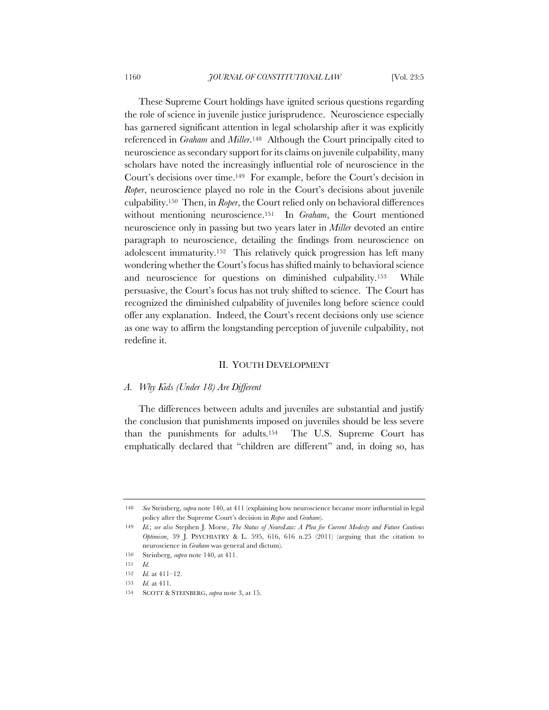These Supreme Court holdings have ignited serious questions regarding the role of science in juvenile justice jurisprudence. Neuroscience especially has garnered significant attention in legal scholarship after it was explicitly referenced in *Graham* and *Miller*.148 Although the Court principally cited to neuroscience as secondary support for its claims on juvenile culpability, many scholars have noted the increasingly influential role of neuroscience in the Court's decisions over time.149 For example, before the Court's decision in *Roper*, neuroscience played no role in the Court's decisions about juvenile culpability.150 Then, in *Roper*, the Court relied only on behavioral differences without mentioning neuroscience.151 In *Graham*, the Court mentioned neuroscience only in passing but two years later in *Miller* devoted an entire paragraph to neuroscience, detailing the findings from neuroscience on adolescent immaturity.152 This relatively quick progression has left many wondering whether the Court's focus has shifted mainly to behavioral science and neuroscience for questions on diminished culpability.153 While persuasive, the Court's focus has not truly shifted to science. The Court has recognized the diminished culpability of juveniles long before science could offer any explanation. Indeed, the Court's recent decisions only use science as one way to affirm the longstanding perception of juvenile culpability, not redefine it.

### II. YOUTH DEVELOPMENT

### *A. Why Kids (Under 18) Are Different*

The differences between adults and juveniles are substantial and justify the conclusion that punishments imposed on juveniles should be less severe than the punishments for adults.154 The U.S. Supreme Court has emphatically declared that "children are different" and, in doing so, has

<sup>148</sup> *See* Steinberg, *supra* note 140, at 411 (explaining how neuroscience became more influential in legal policy after the Supreme Court's decision in *Roper* and *Graham*).

<sup>149</sup> *Id.*; *see also* Stephen J. Morse, *The Status of NeuroLaw: A Plea for Current Modesty and Future Cautious Optimism*, 39 J. PSYCHIATRY & L. 595, 616, 616 n.25 (2011) (arguing that the citation to neuroscience in *Graham* was general and dictum).

<sup>150</sup> Steinberg, *supra* note 140, at 411.

<sup>151</sup> *Id.*

<sup>152</sup> *Id.* at 411–12.

<sup>153</sup> *Id.* at 411.

<sup>154</sup> SCOTT & STEINBERG, *supra* note 3, at 15.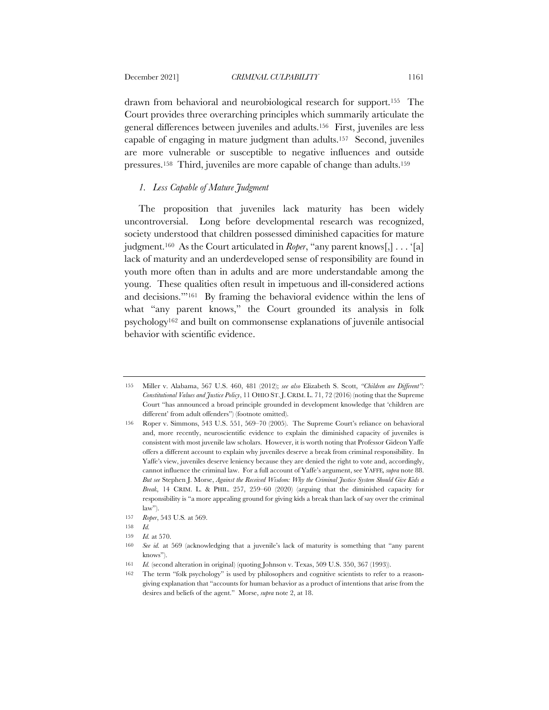drawn from behavioral and neurobiological research for support.155 The Court provides three overarching principles which summarily articulate the general differences between juveniles and adults.156 First, juveniles are less capable of engaging in mature judgment than adults.157 Second, juveniles are more vulnerable or susceptible to negative influences and outside pressures.158 Third, juveniles are more capable of change than adults.159

# *1. Less Capable of Mature Judgment*

The proposition that juveniles lack maturity has been widely uncontroversial. Long before developmental research was recognized, society understood that children possessed diminished capacities for mature judgment.160 As the Court articulated in *Roper*, "any parent knows[,] . . . '[a] lack of maturity and an underdeveloped sense of responsibility are found in youth more often than in adults and are more understandable among the young. These qualities often result in impetuous and ill-considered actions and decisions.'"161 By framing the behavioral evidence within the lens of what "any parent knows," the Court grounded its analysis in folk psychology162 and built on commonsense explanations of juvenile antisocial behavior with scientific evidence.

<sup>155</sup> Miller v. Alabama, 567 U.S. 460, 481 (2012); *see also* Elizabeth S. Scott, *"Children are Different": Constitutional Values and Justice Policy*, 11 OHIO ST.J. CRIM. L. 71, 72 (2016) (noting that the Supreme Court "has announced a broad principle grounded in development knowledge that 'children are different' from adult offenders") (footnote omitted).

<sup>156</sup> Roper v. Simmons, 543 U.S. 551, 569–70 (2005). The Supreme Court's reliance on behavioral and, more recently, neuroscientific evidence to explain the diminished capacity of juveniles is consistent with most juvenile law scholars. However, it is worth noting that Professor Gideon Yaffe offers a different account to explain why juveniles deserve a break from criminal responsibility. In Yaffe's view, juveniles deserve leniency because they are denied the right to vote and, accordingly, cannot influence the criminal law. For a full account of Yaffe's argument, see YAFFE*, supra* note 88. *But see* Stephen J. Morse, *Against the Received Wisdom: Why the Criminal Justice System Should Give Kids a Break*, 14 CRIM. L. & PHIL. 257, 259–60 (2020) (arguing that the diminished capacity for responsibility is "a more appealing ground for giving kids a break than lack of say over the criminal law").

<sup>157</sup> *Roper*, 543 U.S*.* at 569.

<sup>158</sup> *Id.*

<sup>159</sup> *Id.* at 570.

<sup>160</sup> *See id.* at 569 (acknowledging that a juvenile's lack of maturity is something that "any parent knows").

<sup>161</sup> *Id.* (second alteration in original) (quoting Johnson v. Texas, 509 U.S. 350, 367 (1993)).

<sup>162</sup> The term "folk psychology" is used by philosophers and cognitive scientists to refer to a reasongiving explanation that "accounts for human behavior as a product of intentions that arise from the desires and beliefs of the agent." Morse, *supra* note 2, at 18.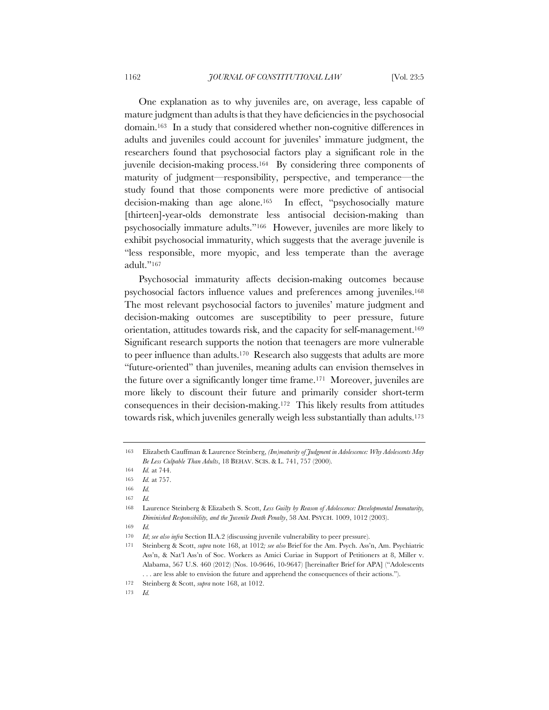One explanation as to why juveniles are, on average, less capable of mature judgment than adults is that they have deficiencies in the psychosocial domain.163 In a study that considered whether non-cognitive differences in adults and juveniles could account for juveniles' immature judgment, the researchers found that psychosocial factors play a significant role in the juvenile decision-making process.164 By considering three components of maturity of judgment—responsibility, perspective, and temperance—the study found that those components were more predictive of antisocial decision-making than age alone.165 In effect, "psychosocially mature [thirteen]-year-olds demonstrate less antisocial decision-making than psychosocially immature adults."166 However, juveniles are more likely to exhibit psychosocial immaturity, which suggests that the average juvenile is "less responsible, more myopic, and less temperate than the average adult."167

Psychosocial immaturity affects decision-making outcomes because psychosocial factors influence values and preferences among juveniles.168 The most relevant psychosocial factors to juveniles' mature judgment and decision-making outcomes are susceptibility to peer pressure, future orientation, attitudes towards risk, and the capacity for self-management.169 Significant research supports the notion that teenagers are more vulnerable to peer influence than adults.170 Research also suggests that adults are more "future-oriented" than juveniles, meaning adults can envision themselves in the future over a significantly longer time frame.171 Moreover, juveniles are more likely to discount their future and primarily consider short-term consequences in their decision-making.172 This likely results from attitudes towards risk, which juveniles generally weigh less substantially than adults.173

<sup>163</sup> Elizabeth Cauffman & Laurence Steinberg, *(Im)maturity of Judgment in Adolescence: Why Adolescents May Be Less Culpable Than Adults*, 18 BEHAV. SCIS. & L. 741, 757 (2000).

<sup>164</sup> *Id.* at 744.

<sup>165</sup> *Id.* at 757.

<sup>166</sup> *Id.*

<sup>167</sup> *Id.*

<sup>168</sup> Laurence Steinberg & Elizabeth S. Scott, *Less Guilty by Reason of Adolescence: Developmental Immaturity, Diminished Responsibility, and the Juvenile Death Penalty*, 58 AM. PSYCH. 1009, 1012 (2003).

<sup>169</sup> *Id.*

<sup>170</sup> *Id*; *see also infra* Section II.A.2 (discussing juvenile vulnerability to peer pressure).

<sup>171</sup> Steinberg & Scott, *supra* note 168, at 1012*; see also* Brief for the Am. Psych. Ass'n, Am. Psychiatric Ass'n, & Nat'l Ass'n of Soc. Workers as Amici Curiae in Support of Petitioners at 8, Miller v. Alabama, 567 U.S. 460 (2012) (Nos. 10-9646, 10-9647) [hereinafter Brief for APA] ("Adolescents . . . are less able to envision the future and apprehend the consequences of their actions.").

<sup>172</sup> Steinberg & Scott, *supra* note 168, at 1012.

<sup>173</sup> *Id.*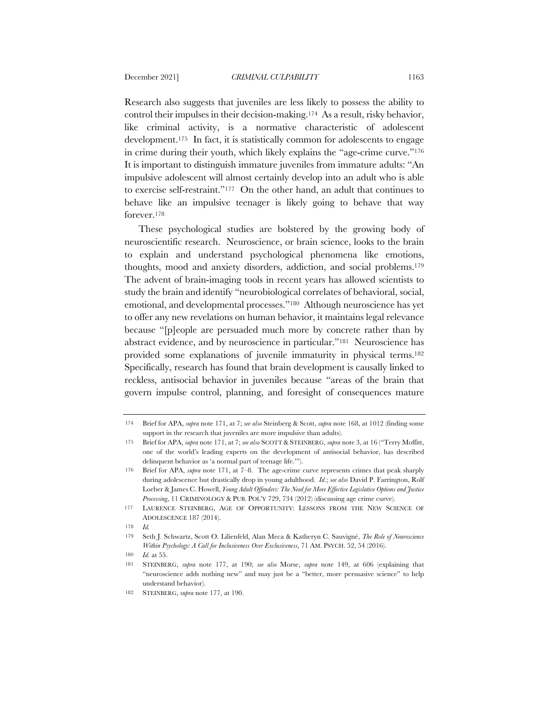Research also suggests that juveniles are less likely to possess the ability to control their impulses in their decision-making.174 As a result, risky behavior, like criminal activity, is a normative characteristic of adolescent development.175 In fact, it is statistically common for adolescents to engage in crime during their youth, which likely explains the "age-crime curve."176 It is important to distinguish immature juveniles from immature adults: "An impulsive adolescent will almost certainly develop into an adult who is able to exercise self-restraint."177 On the other hand, an adult that continues to behave like an impulsive teenager is likely going to behave that way forever.178

These psychological studies are bolstered by the growing body of neuroscientific research. Neuroscience, or brain science, looks to the brain to explain and understand psychological phenomena like emotions, thoughts, mood and anxiety disorders, addiction, and social problems.179 The advent of brain-imaging tools in recent years has allowed scientists to study the brain and identify "neurobiological correlates of behavioral, social, emotional, and developmental processes."180 Although neuroscience has yet to offer any new revelations on human behavior, it maintains legal relevance because "[p]eople are persuaded much more by concrete rather than by abstract evidence, and by neuroscience in particular."181 Neuroscience has provided some explanations of juvenile immaturity in physical terms.182 Specifically, research has found that brain development is causally linked to reckless, antisocial behavior in juveniles because "areas of the brain that govern impulse control, planning, and foresight of consequences mature

<sup>174</sup> Brief for APA, *supra* note 171, at 7; *see also* Steinberg & Scott, *supra* note 168, at 1012 (finding some support in the research that juveniles are more impulsive than adults).

<sup>175</sup> Brief for APA, *supra* note 171, at 7; *see also* SCOTT & STEINBERG, *supra* note 3, at 16 ("Terry Moffitt, one of the world's leading experts on the development of antisocial behavior, has described delinquent behavior as 'a normal part of teenage life.'").

<sup>176</sup> Brief for APA, *supra* note 171, at 7–8. The age-crime curve represents crimes that peak sharply during adolescence but drastically drop in young adulthood. *Id.*; *see also* David P. Farrington, Rolf Loeber & James C. Howell, *Young Adult Offenders: The Need for More Effective Legislative Options and Justice Processing*, 11 CRIMINOLOGY & PUB. POL'Y 729, 734 (2012) (discussing age crime curve).

<sup>177</sup> LAURENCE STEINBERG, AGE OF OPPORTUNITY: LESSONS FROM THE NEW SCIENCE OF ADOLESCENCE 187 (2014).

<sup>178</sup> *Id.*

<sup>179</sup> Seth J. Schwartz, Scott O. Lilienfeld, Alan Meca & Katheryn C. Sauvigné, *The Role of Neuroscience Within Psychology: A Call for Inclusiveness Over Exclusiveness*, 71 AM. PSYCH. 52, 54 (2016).

<sup>180</sup> *Id.* at 55.

<sup>181</sup> STEINBERG, *supra* note 177, at 190; *see also* Morse, *supra* note 149, at 606 (explaining that "neuroscience adds nothing new" and may just be a "better, more persuasive science" to help understand behavior).

<sup>182</sup> STEINBERG, *supra* note 177, at 190.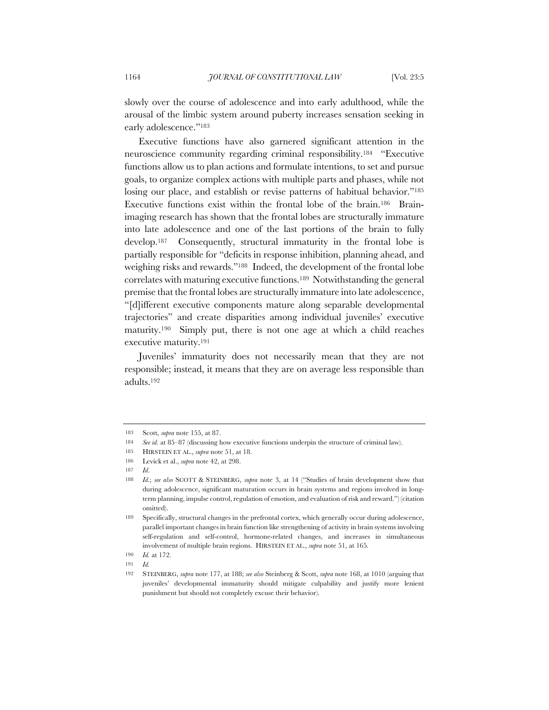slowly over the course of adolescence and into early adulthood, while the arousal of the limbic system around puberty increases sensation seeking in early adolescence."<sup>183</sup>

Executive functions have also garnered significant attention in the neuroscience community regarding criminal responsibility.184 "Executive functions allow us to plan actions and formulate intentions, to set and pursue goals, to organize complex actions with multiple parts and phases, while not losing our place, and establish or revise patterns of habitual behavior."<sup>185</sup> Executive functions exist within the frontal lobe of the brain.186 Brainimaging research has shown that the frontal lobes are structurally immature into late adolescence and one of the last portions of the brain to fully develop.187 Consequently, structural immaturity in the frontal lobe is partially responsible for "deficits in response inhibition, planning ahead, and weighing risks and rewards."188 Indeed, the development of the frontal lobe correlates with maturing executive functions.189 Notwithstanding the general premise that the frontal lobes are structurally immature into late adolescence, "[d]ifferent executive components mature along separable developmental trajectories" and create disparities among individual juveniles' executive maturity.190 Simply put, there is not one age at which a child reaches executive maturity.191

Juveniles' immaturity does not necessarily mean that they are not responsible; instead, it means that they are on average less responsible than adults.192

<sup>183</sup> Scott, *supra* note 155, at 87.

<sup>184</sup> *See id.* at 85–87 (discussing how executive functions underpin the structure of criminal law).

<sup>185</sup> HIRSTEIN ET AL., *supra* note 51, at 18.

<sup>186</sup> Levick et al., *supra* note 42, at 298.

<sup>187</sup> *Id*.

<sup>188</sup> *Id.*; *see also* SCOTT & STEINBERG, *supra* note 3, at 14 ("Studies of brain development show that during adolescence, significant maturation occurs in brain systems and regions involved in longterm planning, impulse control, regulation of emotion, and evaluation of risk and reward.") (citation omitted).

<sup>189</sup> Specifically, structural changes in the prefrontal cortex, which generally occur during adolescence, parallel important changes in brain function like strengthening of activity in brain systems involving self-regulation and self-control, hormone-related changes, and increases in simultaneous involvement of multiple brain regions. HIRSTEIN ET AL., *supra* note 51, at 165*.*

<sup>190</sup> *Id.* at 172.

<sup>191</sup> *Id.*

<sup>192</sup> STEINBERG, *supra* note 177, at 188; *see also* Steinberg & Scott, *supra* note 168, at 1010 (arguing that juveniles' developmental immaturity should mitigate culpability and justify more lenient punishment but should not completely excuse their behavior).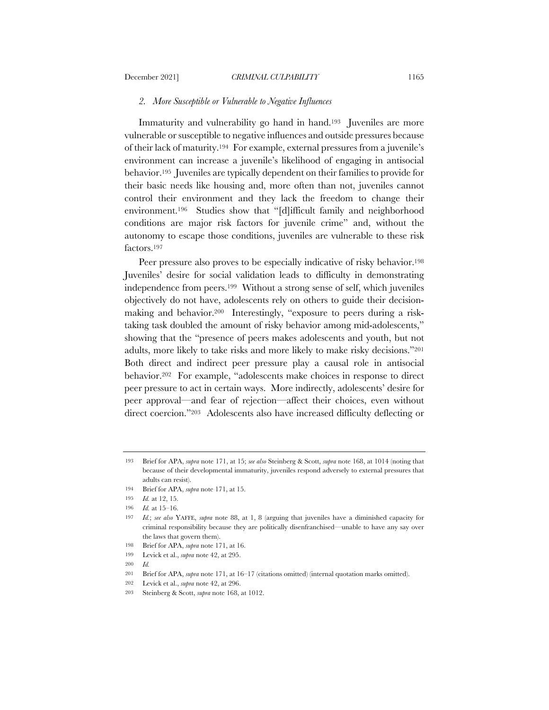#### *2. More Susceptible or Vulnerable to Negative Influences*

Immaturity and vulnerability go hand in hand.193 Juveniles are more vulnerable or susceptible to negative influences and outside pressures because of their lack of maturity.194 For example, external pressures from a juvenile's environment can increase a juvenile's likelihood of engaging in antisocial behavior.195 Juveniles are typically dependent on their families to provide for their basic needs like housing and, more often than not, juveniles cannot control their environment and they lack the freedom to change their environment.196 Studies show that "[d]ifficult family and neighborhood conditions are major risk factors for juvenile crime" and, without the autonomy to escape those conditions, juveniles are vulnerable to these risk factors.197

Peer pressure also proves to be especially indicative of risky behavior.<sup>198</sup> Juveniles' desire for social validation leads to difficulty in demonstrating independence from peers.199 Without a strong sense of self, which juveniles objectively do not have, adolescents rely on others to guide their decisionmaking and behavior.200 Interestingly, "exposure to peers during a risktaking task doubled the amount of risky behavior among mid-adolescents," showing that the "presence of peers makes adolescents and youth, but not adults, more likely to take risks and more likely to make risky decisions."201 Both direct and indirect peer pressure play a causal role in antisocial behavior.202 For example, "adolescents make choices in response to direct peer pressure to act in certain ways. More indirectly, adolescents' desire for peer approval—and fear of rejection—affect their choices, even without direct coercion."203 Adolescents also have increased difficulty deflecting or

<sup>193</sup> Brief for APA, *supra* note 171, at 15; *see also* Steinberg & Scott, *supra* note 168, at 1014 (noting that because of their developmental immaturity, juveniles respond adversely to external pressures that adults can resist).

<sup>194</sup> Brief for APA, *supra* note 171, at 15.

<sup>195</sup> *Id.* at 12, 15.

<sup>196</sup> *Id.* at 15–16.

<sup>197</sup> *Id.*; *see also* YAFFE, *supra* note 88, at 1, 8 (arguing that juveniles have a diminished capacity for criminal responsibility because they are politically disenfranchised—unable to have any say over the laws that govern them).

<sup>198</sup> Brief for APA, *supra* note 171, at 16.

<sup>199</sup> Levick et al., *supra* note 42, at 295.

<sup>200</sup> *Id.*

<sup>201</sup> Brief for APA, *supra* note 171, at 16–17 (citations omitted) (internal quotation marks omitted).

<sup>202</sup> Levick et al., *supra* note 42, at 296.

<sup>203</sup> Steinberg & Scott, *supra* note 168, at 1012.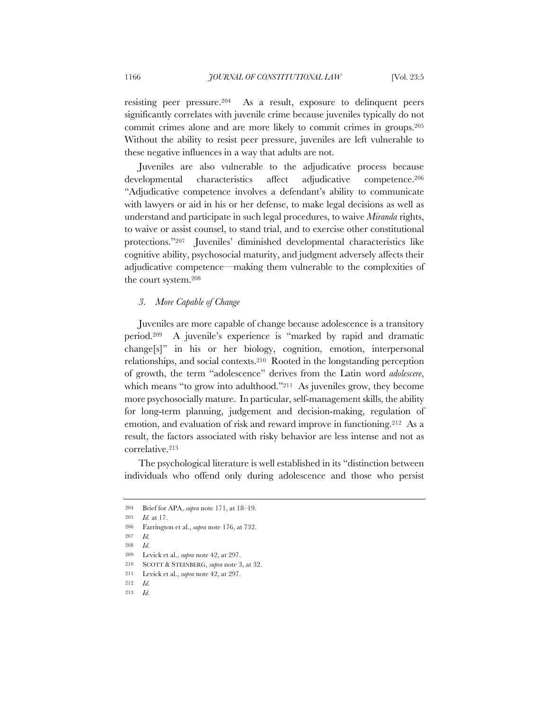resisting peer pressure.204 As a result, exposure to delinquent peers significantly correlates with juvenile crime because juveniles typically do not commit crimes alone and are more likely to commit crimes in groups.205 Without the ability to resist peer pressure, juveniles are left vulnerable to these negative influences in a way that adults are not.

Juveniles are also vulnerable to the adjudicative process because developmental characteristics affect adjudicative competence.206 "Adjudicative competence involves a defendant's ability to communicate with lawyers or aid in his or her defense, to make legal decisions as well as understand and participate in such legal procedures, to waive *Miranda* rights, to waive or assist counsel, to stand trial, and to exercise other constitutional protections."207 Juveniles' diminished developmental characteristics like cognitive ability, psychosocial maturity, and judgment adversely affects their adjudicative competence—making them vulnerable to the complexities of the court system.208

### *3. More Capable of Change*

Juveniles are more capable of change because adolescence is a transitory period.209 A juvenile's experience is "marked by rapid and dramatic change[s]" in his or her biology, cognition, emotion, interpersonal relationships, and social contexts.210 Rooted in the longstanding perception of growth, the term "adolescence" derives from the Latin word *adolescere*, which means "to grow into adulthood."<sup>211</sup> As juveniles grow, they become more psychosocially mature. In particular, self-management skills, the ability for long-term planning, judgement and decision-making, regulation of emotion, and evaluation of risk and reward improve in functioning.212 As a result, the factors associated with risky behavior are less intense and not as correlative.213

The psychological literature is well established in its "distinction between individuals who offend only during adolescence and those who persist

<sup>204</sup> Brief for APA, *supra* note 171, at 18–19.

<sup>205</sup> *Id.* at 17.

<sup>206</sup> Farrington et al., *supra* note 176, at 732.

<sup>207</sup> *Id.*

<sup>208</sup> *Id.*

<sup>209</sup> Levick et al., *supra* note 42, at 297.

<sup>210</sup> SCOTT & STEINBERG, *supra* note 3, at 32.

<sup>211</sup> Levick et al., *supra* note 42, at 297.

<sup>212</sup> *Id.*

<sup>213</sup> *Id.*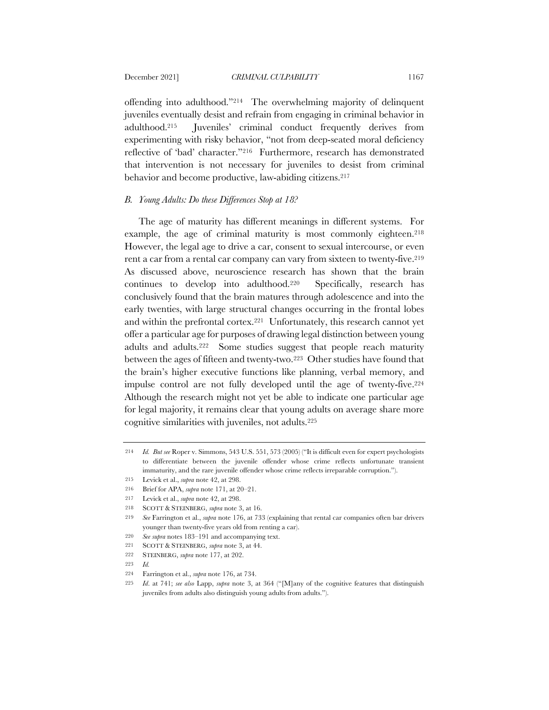offending into adulthood."214 The overwhelming majority of delinquent juveniles eventually desist and refrain from engaging in criminal behavior in adulthood.215 Juveniles' criminal conduct frequently derives from experimenting with risky behavior, "not from deep-seated moral deficiency reflective of 'bad' character."216 Furthermore, research has demonstrated that intervention is not necessary for juveniles to desist from criminal behavior and become productive, law-abiding citizens.217

# *B. Young Adults: Do these Differences Stop at 18?*

The age of maturity has different meanings in different systems. For example, the age of criminal maturity is most commonly eighteen.<sup>218</sup> However, the legal age to drive a car, consent to sexual intercourse, or even rent a car from a rental car company can vary from sixteen to twenty-five.<sup>219</sup> As discussed above, neuroscience research has shown that the brain continues to develop into adulthood.220 Specifically, research has conclusively found that the brain matures through adolescence and into the early twenties, with large structural changes occurring in the frontal lobes and within the prefrontal cortex.221 Unfortunately, this research cannot yet offer a particular age for purposes of drawing legal distinction between young adults and adults.222 Some studies suggest that people reach maturity between the ages of fifteen and twenty-two.223 Other studies have found that the brain's higher executive functions like planning, verbal memory, and impulse control are not fully developed until the age of twenty-five.224 Although the research might not yet be able to indicate one particular age for legal majority, it remains clear that young adults on average share more cognitive similarities with juveniles, not adults.225

- 221 SCOTT & STEINBERG, *supra* note 3, at 44.
- 222 STEINBERG, *supra* note 177, at 202.
- 223 *Id.*

<sup>214</sup> *Id. But see* Roper v. Simmons, 543 U.S. 551, 573 (2005) ("It is difficult even for expert psychologists to differentiate between the juvenile offender whose crime reflects unfortunate transient immaturity, and the rare juvenile offender whose crime reflects irreparable corruption.").

<sup>215</sup> Levick et al., *supra* note 42, at 298.

<sup>216</sup> Brief for APA, *supra* note 171, at 20–21.

<sup>217</sup> Levick et al., *supra* note 42, at 298.

<sup>218</sup> SCOTT & STEINBERG, *supra* note 3, at 16.

<sup>219</sup> *See* Farrington et al., *supra* note 176, at 733 (explaining that rental car companies often bar drivers younger than twenty-five years old from renting a car).

<sup>220</sup> *See supra* notes 183–191 and accompanying text.

<sup>224</sup> Farrington et al., *supra* note 176, at 734.

<sup>225</sup> *Id*. at 741; *see also* Lapp, *supra* note 3, at 364 ("[M]any of the cognitive features that distinguish juveniles from adults also distinguish young adults from adults.").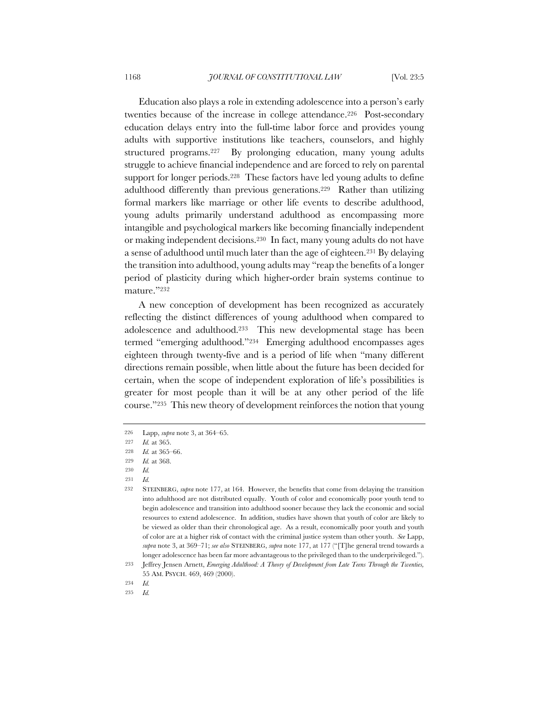Education also plays a role in extending adolescence into a person's early twenties because of the increase in college attendance.226 Post-secondary education delays entry into the full-time labor force and provides young adults with supportive institutions like teachers, counselors, and highly structured programs.227 By prolonging education, many young adults struggle to achieve financial independence and are forced to rely on parental support for longer periods.<sup>228</sup> These factors have led young adults to define adulthood differently than previous generations.229 Rather than utilizing formal markers like marriage or other life events to describe adulthood, young adults primarily understand adulthood as encompassing more intangible and psychological markers like becoming financially independent or making independent decisions.230 In fact, many young adults do not have a sense of adulthood until much later than the age of eighteen.231 By delaying the transition into adulthood, young adults may "reap the benefits of a longer period of plasticity during which higher-order brain systems continue to mature."232

A new conception of development has been recognized as accurately reflecting the distinct differences of young adulthood when compared to adolescence and adulthood.233 This new developmental stage has been termed "emerging adulthood."234 Emerging adulthood encompasses ages eighteen through twenty-five and is a period of life when "many different directions remain possible, when little about the future has been decided for certain, when the scope of independent exploration of life's possibilities is greater for most people than it will be at any other period of the life course."235 This new theory of development reinforces the notion that young

231 *Id.*

<sup>226</sup> Lapp, *supra* note 3, at 364–65.

<sup>227</sup> *Id.* at 365.

<sup>228</sup> *Id.* at 365–66.

<sup>229</sup> *Id.* at 368.

<sup>230</sup> *Id.*

<sup>232</sup> STEINBERG, *supra* note 177, at 164. However, the benefits that come from delaying the transition into adulthood are not distributed equally. Youth of color and economically poor youth tend to begin adolescence and transition into adulthood sooner because they lack the economic and social resources to extend adolescence. In addition, studies have shown that youth of color are likely to be viewed as older than their chronological age. As a result, economically poor youth and youth of color are at a higher risk of contact with the criminal justice system than other youth. *See* Lapp, *supra* note 3, at 369–71; *see also* STEINBERG, *supra* note 177, at 177 ("[T]he general trend towards a longer adolescence has been far more advantageous to the privileged than to the underprivileged.").

<sup>233</sup> Jeffrey Jensen Arnett, *Emerging Adulthood: A Theory of Development from Late Teens Through the Twenties,* 55 AM. PSYCH. 469, 469 (2000).

<sup>234</sup> *Id.*

<sup>235</sup> *Id.*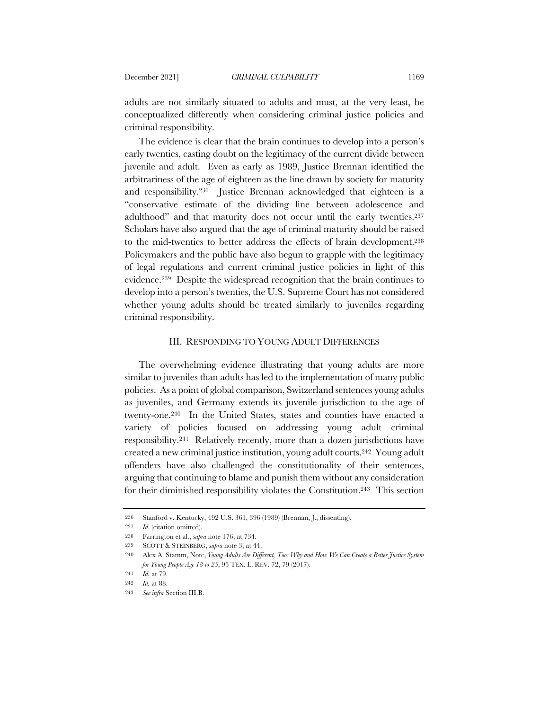adults are not similarly situated to adults and must, at the very least, be conceptualized differently when considering criminal justice policies and criminal responsibility.

The evidence is clear that the brain continues to develop into a person's early twenties, casting doubt on the legitimacy of the current divide between juvenile and adult. Even as early as 1989, Justice Brennan identified the arbitrariness of the age of eighteen as the line drawn by society for maturity and responsibility.236 Justice Brennan acknowledged that eighteen is a "conservative estimate of the dividing line between adolescence and adulthood" and that maturity does not occur until the early twenties.237 Scholars have also argued that the age of criminal maturity should be raised to the mid-twenties to better address the effects of brain development.238 Policymakers and the public have also begun to grapple with the legitimacy of legal regulations and current criminal justice policies in light of this evidence.239 Despite the widespread recognition that the brain continues to develop into a person's twenties, the U.S. Supreme Court has not considered whether young adults should be treated similarly to juveniles regarding criminal responsibility.

## III. RESPONDING TO YOUNG ADULT DIFFERENCES

The overwhelming evidence illustrating that young adults are more similar to juveniles than adults has led to the implementation of many public policies. As a point of global comparison, Switzerland sentences young adults as juveniles, and Germany extends its juvenile jurisdiction to the age of twenty-one.240 In the United States, states and counties have enacted a variety of policies focused on addressing young adult criminal responsibility.241 Relatively recently, more than a dozen jurisdictions have created a new criminal justice institution, young adult courts.242 Young adult offenders have also challenged the constitutionality of their sentences, arguing that continuing to blame and punish them without any consideration for their diminished responsibility violates the Constitution.243 This section

<sup>236</sup> Stanford v. Kentucky, 492 U.S. 361, 396 (1989) (Brennan, J., dissenting).

<sup>237</sup> *Id.* (citation omitted).

<sup>238</sup> Farrington et al., *supra* note 176, at 734.

<sup>239</sup> SCOTT & STEINBERG, *supra* note 3, at 44.

<sup>240</sup> Alex A. Stamm, Note, *Young Adults Are Different, Too: Why and How We Can Create a Better Justice System for Young People Age 18 to 25*, 95 TEX. L. REV. 72, 79 (2017).

<sup>241</sup> *Id.* at 79.

<sup>242</sup> *Id.* at 88.

<sup>243</sup> *See infra* Section III.B.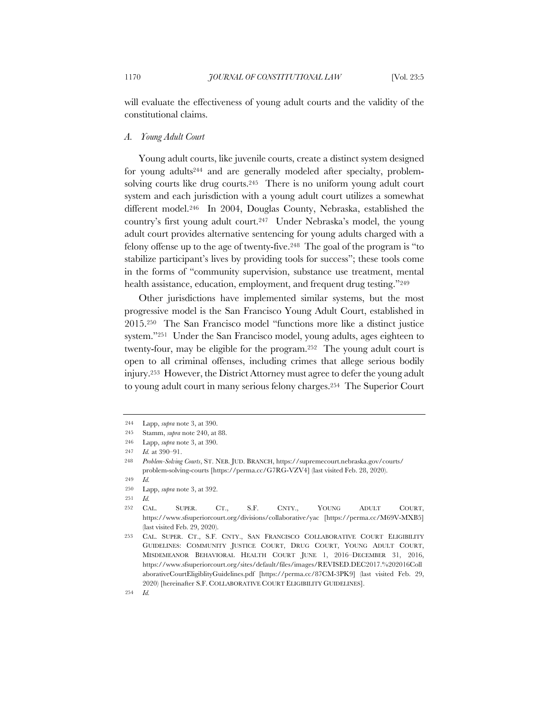will evaluate the effectiveness of young adult courts and the validity of the constitutional claims.

## *A. Young Adult Court*

Young adult courts, like juvenile courts, create a distinct system designed for young adults244 and are generally modeled after specialty, problemsolving courts like drug courts.<sup>245</sup> There is no uniform young adult court system and each jurisdiction with a young adult court utilizes a somewhat different model.246 In 2004, Douglas County, Nebraska, established the country's first young adult court.<sup>247</sup> Under Nebraska's model, the young adult court provides alternative sentencing for young adults charged with a felony offense up to the age of twenty-five.248 The goal of the program is "to stabilize participant's lives by providing tools for success"; these tools come in the forms of "community supervision, substance use treatment, mental health assistance, education, employment, and frequent drug testing."<sup>249</sup>

Other jurisdictions have implemented similar systems, but the most progressive model is the San Francisco Young Adult Court, established in 2015.250 The San Francisco model "functions more like a distinct justice system."251 Under the San Francisco model, young adults, ages eighteen to twenty-four, may be eligible for the program.252 The young adult court is open to all criminal offenses, including crimes that allege serious bodily injury.253 However, the District Attorney must agree to defer the young adult to young adult court in many serious felony charges.254 The Superior Court

<sup>244</sup> Lapp, *supra* note 3, at 390.

<sup>245</sup> Stamm, *supra* note 240, at 88.

<sup>246</sup> Lapp, *supra* note 3, at 390.

<sup>247</sup> *Id.* at 390–91.

<sup>248</sup> *Problem-Solving Courts*, ST. NEB. JUD. BRANCH, https://supremecourt.nebraska.gov/courts/ problem-solving-courts [https://perma.cc/G7RG-VZV4] (last visited Feb. 28, 2020).

<sup>249</sup> *Id.*

<sup>250</sup> Lapp, *supra* note 3, at 392.

<sup>251</sup> *Id.*

<sup>252</sup> CAL. SUPER. CT., S.F. CNTY., YOUNG ADULT COURT, https://www.sfsuperiorcourt.org/divisions/collaborative/yac [https://perma.cc/M69V-MXB5] (last visited Feb. 29, 2020).

<sup>253</sup> CAL. SUPER. CT., S.F. CNTY., SAN FRANCISCO COLLABORATIVE COURT ELIGIBILITY GUIDELINES: COMMUNITY JUSTICE COURT, DRUG COURT, YOUNG ADULT COURT, MISDEMEANOR BEHAVIORAL HEALTH COURT JUNE 1, 2016–DECEMBER 31, 2016, https://www.sfsuperiorcourt.org/sites/default/files/images/REVISED.DEC2017.%202016Coll aborativeCourtEligiblityGuidelines.pdf [https://perma.cc/87CM-3PK9] (last visited Feb. 29, 2020) [hereinafter S.F. COLLABORATIVE COURT ELIGIBILITY GUIDELINES].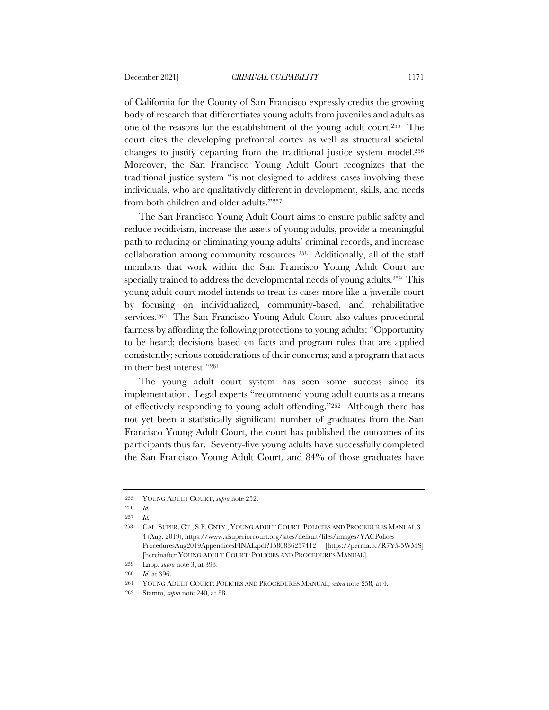of California for the County of San Francisco expressly credits the growing body of research that differentiates young adults from juveniles and adults as one of the reasons for the establishment of the young adult court.255 The court cites the developing prefrontal cortex as well as structural societal changes to justify departing from the traditional justice system model.256 Moreover, the San Francisco Young Adult Court recognizes that the traditional justice system "is not designed to address cases involving these individuals, who are qualitatively different in development, skills, and needs from both children and older adults."257

The San Francisco Young Adult Court aims to ensure public safety and reduce recidivism, increase the assets of young adults, provide a meaningful path to reducing or eliminating young adults' criminal records, and increase collaboration among community resources.258 Additionally, all of the staff members that work within the San Francisco Young Adult Court are specially trained to address the developmental needs of young adults.259 This young adult court model intends to treat its cases more like a juvenile court by focusing on individualized, community-based, and rehabilitative services.260 The San Francisco Young Adult Court also values procedural fairness by affording the following protections to young adults: "Opportunity to be heard; decisions based on facts and program rules that are applied consistently; serious considerations of their concerns; and a program that acts in their best interest."261

The young adult court system has seen some success since its implementation. Legal experts "recommend young adult courts as a means of effectively responding to young adult offending."262 Although there has not yet been a statistically significant number of graduates from the San Francisco Young Adult Court, the court has published the outcomes of its participants thus far. Seventy-five young adults have successfully completed the San Francisco Young Adult Court, and 84% of those graduates have

<sup>255</sup> YOUNG ADULT COURT, *supra* note 252.

<sup>256</sup> *Id.*

<sup>257</sup> *Id.*

<sup>258</sup> CAL. SUPER. CT., S.F. CNTY., YOUNG ADULT COURT: POLICIES AND PROCEDURES MANUAL 3– 4 (Aug. 2019), https://www.sfsuperiorcourt.org/sites/default/files/images/YACPolices ProceduresAug2019AppendicesFINAL.pdf?1580836257412 [https://perma.cc/R7Y5-5WMS] [hereinafter YOUNG ADULT COURT: POLICIES AND PROCEDURES MANUAL].

<sup>259</sup> Lapp, *supra* note 3, at 393.

<sup>260</sup> *Id*. at 396.

<sup>261</sup> YOUNG ADULT COURT: POLICIES AND PROCEDURES MANUAL, *supra* note 258, at 4.

<sup>262</sup> Stamm, *supra* note 240, at 88.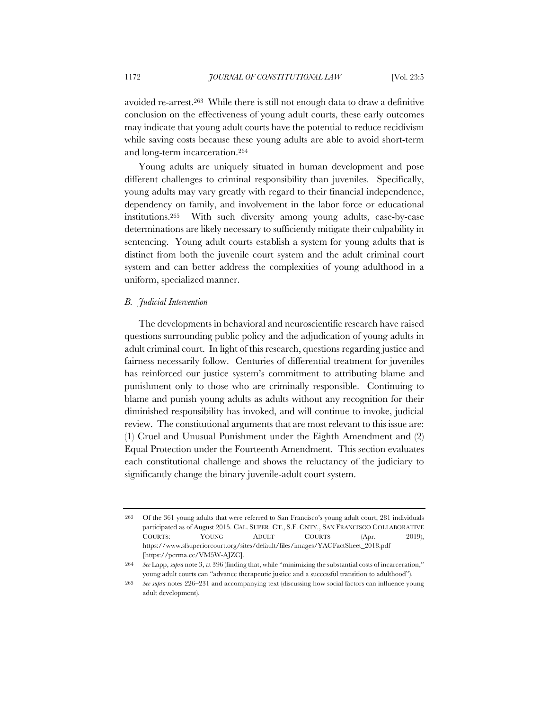avoided re-arrest.263 While there is still not enough data to draw a definitive conclusion on the effectiveness of young adult courts, these early outcomes may indicate that young adult courts have the potential to reduce recidivism while saving costs because these young adults are able to avoid short-term and long-term incarceration.264

Young adults are uniquely situated in human development and pose different challenges to criminal responsibility than juveniles. Specifically, young adults may vary greatly with regard to their financial independence, dependency on family, and involvement in the labor force or educational institutions.265 With such diversity among young adults, case-by-case determinations are likely necessary to sufficiently mitigate their culpability in sentencing. Young adult courts establish a system for young adults that is distinct from both the juvenile court system and the adult criminal court system and can better address the complexities of young adulthood in a uniform, specialized manner.

### *B. Judicial Intervention*

The developments in behavioral and neuroscientific research have raised questions surrounding public policy and the adjudication of young adults in adult criminal court. In light of this research, questions regarding justice and fairness necessarily follow. Centuries of differential treatment for juveniles has reinforced our justice system's commitment to attributing blame and punishment only to those who are criminally responsible. Continuing to blame and punish young adults as adults without any recognition for their diminished responsibility has invoked, and will continue to invoke, judicial review. The constitutional arguments that are most relevant to this issue are: (1) Cruel and Unusual Punishment under the Eighth Amendment and (2) Equal Protection under the Fourteenth Amendment. This section evaluates each constitutional challenge and shows the reluctancy of the judiciary to significantly change the binary juvenile-adult court system.

<sup>263</sup> Of the 361 young adults that were referred to San Francisco's young adult court, 281 individuals participated as of August 2015. CAL. SUPER. CT., S.F. CNTY., SAN FRANCISCO COLLABORATIVE COURTS: YOUNG ADULT COURTS (Apr. 2019), https://www.sfsuperiorcourt.org/sites/default/files/images/YACFactSheet\_2018.pdf [https://perma.cc/VM5W-AJZC].

<sup>264</sup> *See* Lapp, *supra* note 3, at 396 (finding that, while "minimizing the substantial costs of incarceration," young adult courts can "advance therapeutic justice and a successful transition to adulthood").

<sup>265</sup> *See supra* notes 226–231 and accompanying text (discussing how social factors can influence young adult development).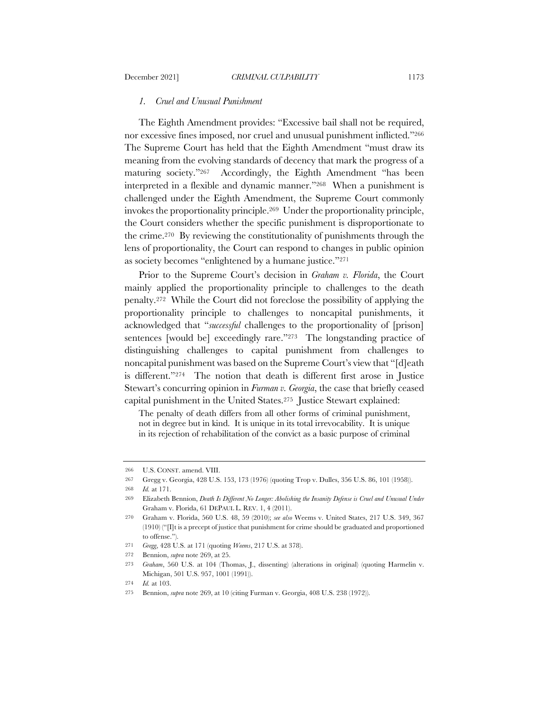### *1. Cruel and Unusual Punishment*

The Eighth Amendment provides: "Excessive bail shall not be required, nor excessive fines imposed, nor cruel and unusual punishment inflicted."266 The Supreme Court has held that the Eighth Amendment "must draw its meaning from the evolving standards of decency that mark the progress of a maturing society."267 Accordingly, the Eighth Amendment "has been interpreted in a flexible and dynamic manner."268 When a punishment is challenged under the Eighth Amendment, the Supreme Court commonly invokes the proportionality principle.269 Under the proportionality principle, the Court considers whether the specific punishment is disproportionate to the crime.270 By reviewing the constitutionality of punishments through the lens of proportionality, the Court can respond to changes in public opinion as society becomes "enlightened by a humane justice."271

Prior to the Supreme Court's decision in *Graham v. Florida*, the Court mainly applied the proportionality principle to challenges to the death penalty.272 While the Court did not foreclose the possibility of applying the proportionality principle to challenges to noncapital punishments, it acknowledged that "*successful* challenges to the proportionality of [prison] sentences [would be] exceedingly rare."273 The longstanding practice of distinguishing challenges to capital punishment from challenges to noncapital punishment was based on the Supreme Court's view that "[d]eath is different."274 The notion that death is different first arose in Justice Stewart's concurring opinion in *Furman v. Georgia*, the case that briefly ceased capital punishment in the United States.275 Justice Stewart explained:

The penalty of death differs from all other forms of criminal punishment, not in degree but in kind. It is unique in its total irrevocability. It is unique in its rejection of rehabilitation of the convict as a basic purpose of criminal

<sup>266</sup> U.S. CONST. amend. VIII.

<sup>267</sup> Gregg v. Georgia, 428 U.S. 153, 173 (1976) (quoting Trop v. Dulles, 356 U.S. 86, 101 (1958)).

<sup>268</sup> *Id.* at 171.

<sup>269</sup> Elizabeth Bennion, *Death Is Different No Longer: Abolishing the Insanity Defense is Cruel and Unusual Under*  Graham v. Florida, 61 DEPAUL L. REV. 1, 4 (2011).

<sup>270</sup> Graham v. Florida, 560 U.S. 48, 59 (2010); *see also* Weems v. United States, 217 U.S. 349, 367 (1910) ("[I]t is a precept of justice that punishment for crime should be graduated and proportioned to offense.").

<sup>271</sup> *Gregg*, 428 U.S. at 171 (quoting *Weems*, 217 U.S. at 378).

<sup>272</sup> Bennion, *supra* note 269, at 25.

<sup>273</sup> *Graham*, 560 U.S. at 104 (Thomas, J., dissenting) (alterations in original) (quoting Harmelin v. Michigan, 501 U.S. 957, 1001 (1991)).

<sup>274</sup> *Id.* at 103.

<sup>275</sup> Bennion, *supra* note 269, at 10 (citing Furman v. Georgia, 408 U.S. 238 (1972)).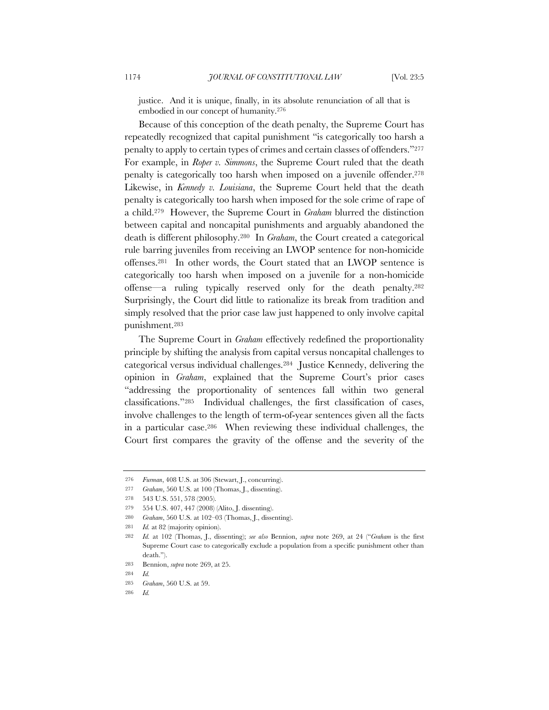justice. And it is unique, finally, in its absolute renunciation of all that is embodied in our concept of humanity.276

Because of this conception of the death penalty, the Supreme Court has repeatedly recognized that capital punishment "is categorically too harsh a penalty to apply to certain types of crimes and certain classes of offenders."277 For example, in *Roper v. Simmons*, the Supreme Court ruled that the death penalty is categorically too harsh when imposed on a juvenile offender.<sup>278</sup> Likewise, in *Kennedy v. Louisiana*, the Supreme Court held that the death penalty is categorically too harsh when imposed for the sole crime of rape of a child.279 However, the Supreme Court in *Graham* blurred the distinction between capital and noncapital punishments and arguably abandoned the death is different philosophy.280 In *Graham*, the Court created a categorical rule barring juveniles from receiving an LWOP sentence for non-homicide offenses.281 In other words, the Court stated that an LWOP sentence is categorically too harsh when imposed on a juvenile for a non-homicide offense—a ruling typically reserved only for the death penalty.282 Surprisingly, the Court did little to rationalize its break from tradition and simply resolved that the prior case law just happened to only involve capital punishment.283

The Supreme Court in *Graham* effectively redefined the proportionality principle by shifting the analysis from capital versus noncapital challenges to categorical versus individual challenges.284 Justice Kennedy, delivering the opinion in *Graham*, explained that the Supreme Court's prior cases "addressing the proportionality of sentences fall within two general classifications."285 Individual challenges, the first classification of cases, involve challenges to the length of term-of-year sentences given all the facts in a particular case.286 When reviewing these individual challenges, the Court first compares the gravity of the offense and the severity of the

280 *Graham*, 560 U.S. at 102–03 (Thomas, J., dissenting).

<sup>276</sup> *Furman*, 408 U.S. at 306 (Stewart, J., concurring).

<sup>277</sup> *Graham*, 560 U.S. at 100 (Thomas, J., dissenting).

<sup>278</sup> 543 U.S. 551, 578 (2005).

<sup>279</sup> 554 U.S. 407, 447 (2008) (Alito, J. dissenting).

<sup>281</sup> *Id.* at 82 (majority opinion).

<sup>282</sup> *Id.* at 102 (Thomas, J., dissenting); *see also* Bennion, *supra* note 269, at 24 ("*Graham* is the first Supreme Court case to categorically exclude a population from a specific punishment other than death.").

<sup>283</sup> Bennion, *supra* note 269, at 25.

<sup>284</sup> *Id.*

<sup>285</sup> *Graham*, 560 U.S. at 59.

<sup>286</sup> *Id.*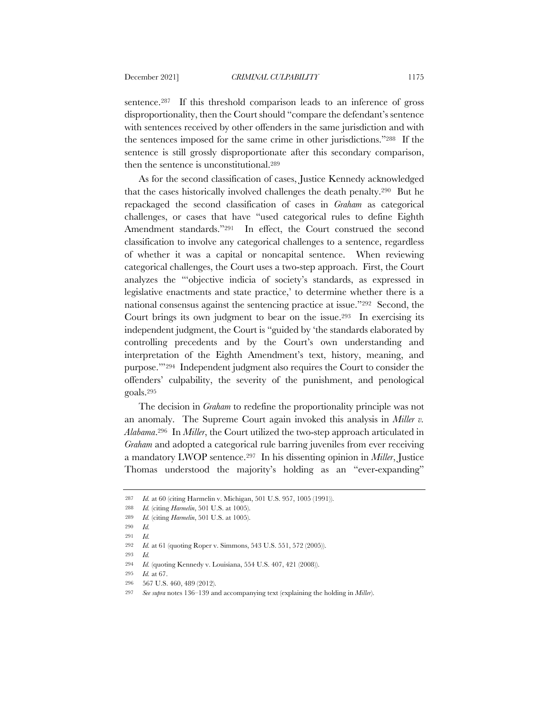sentence.<sup>287</sup> If this threshold comparison leads to an inference of gross disproportionality, then the Court should "compare the defendant's sentence with sentences received by other offenders in the same jurisdiction and with the sentences imposed for the same crime in other jurisdictions."288 If the sentence is still grossly disproportionate after this secondary comparison, then the sentence is unconstitutional.289

As for the second classification of cases, Justice Kennedy acknowledged that the cases historically involved challenges the death penalty.290 But he repackaged the second classification of cases in *Graham* as categorical challenges, or cases that have "used categorical rules to define Eighth Amendment standards."291 In effect, the Court construed the second classification to involve any categorical challenges to a sentence, regardless of whether it was a capital or noncapital sentence. When reviewing categorical challenges, the Court uses a two-step approach. First, the Court analyzes the "'objective indicia of society's standards, as expressed in legislative enactments and state practice,' to determine whether there is a national consensus against the sentencing practice at issue."292 Second, the Court brings its own judgment to bear on the issue.293 In exercising its independent judgment, the Court is "guided by 'the standards elaborated by controlling precedents and by the Court's own understanding and interpretation of the Eighth Amendment's text, history, meaning, and purpose.'"294 Independent judgment also requires the Court to consider the offenders' culpability, the severity of the punishment, and penological goals.295

The decision in *Graham* to redefine the proportionality principle was not an anomaly. The Supreme Court again invoked this analysis in *Miller v. Alabama*.296 In *Miller*, the Court utilized the two-step approach articulated in *Graham* and adopted a categorical rule barring juveniles from ever receiving a mandatory LWOP sentence.297 In his dissenting opinion in *Miller*, Justice Thomas understood the majority's holding as an "ever-expanding"

<sup>287</sup> *Id.* at 60 (citing Harmelin v. Michigan, 501 U.S. 957, 1005 (1991)).

<sup>288</sup> *Id.* (citing *Harmelin*, 501 U.S. at 1005).

<sup>289</sup> *Id.* (citing *Harmelin*, 501 U.S. at 1005).

<sup>290</sup> *Id.*

<sup>291</sup> *Id.*

<sup>292</sup> *Id.* at 61 (quoting Roper v. Simmons, 543 U.S. 551, 572 (2005)).

<sup>293</sup> *Id.*

<sup>294</sup> *Id.* (quoting Kennedy v. Louisiana, 554 U.S. 407, 421 (2008)).

<sup>295</sup> *Id.* at 67.

<sup>296</sup> 567 U.S. 460, 489 (2012).

<sup>297</sup> *See supra* notes 136–139 and accompanying text (explaining the holding in *Miller*).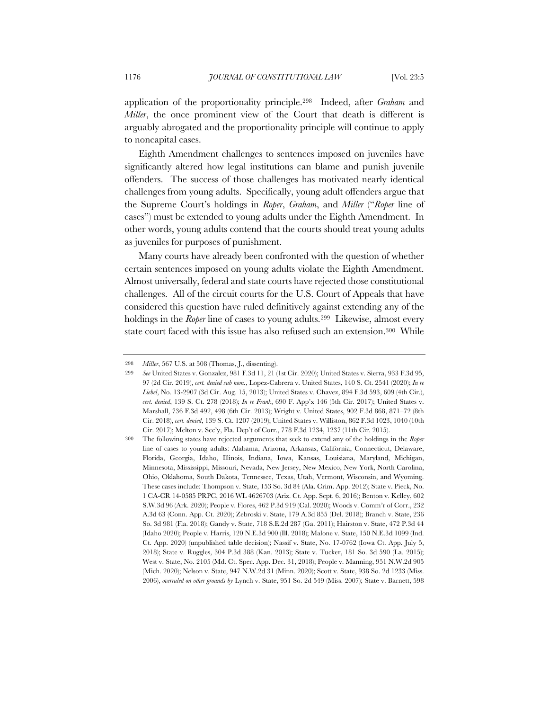application of the proportionality principle.298 Indeed, after *Graham* and *Miller*, the once prominent view of the Court that death is different is arguably abrogated and the proportionality principle will continue to apply to noncapital cases.

Eighth Amendment challenges to sentences imposed on juveniles have significantly altered how legal institutions can blame and punish juvenile offenders. The success of those challenges has motivated nearly identical challenges from young adults. Specifically, young adult offenders argue that the Supreme Court's holdings in *Roper*, *Graham*, and *Miller* ("*Roper* line of cases") must be extended to young adults under the Eighth Amendment. In other words, young adults contend that the courts should treat young adults as juveniles for purposes of punishment.

Many courts have already been confronted with the question of whether certain sentences imposed on young adults violate the Eighth Amendment. Almost universally, federal and state courts have rejected those constitutional challenges. All of the circuit courts for the U.S. Court of Appeals that have considered this question have ruled definitively against extending any of the holdings in the *Roper* line of cases to young adults.299 Likewise, almost every state court faced with this issue has also refused such an extension.300 While

<sup>298</sup> *Miller*, 567 U.S. at 508 (Thomas, J., dissenting).

<sup>299</sup> *See* United States v. Gonzalez, 981 F.3d 11, 21 (1st Cir. 2020); United States v. Sierra, 933 F.3d 95, 97 (2d Cir. 2019), *cert. denied sub nom.*, Lopez-Cabrera v. United States, 140 S. Ct. 2541 (2020); *In re Liebel*, No. 13-2907 (3d Cir. Aug. 15, 2013); United States v. Chavez, 894 F.3d 593, 609 (4th Cir.), *cert. denied*, 139 S. Ct. 278 (2018); *In re Frank*, 690 F. App'x 146 (5th Cir. 2017); United States v. Marshall, 736 F.3d 492, 498 (6th Cir. 2013); Wright v. United States, 902 F.3d 868, 871–72 (8th Cir. 2018), *cert. denied*, 139 S. Ct. 1207 (2019); United States v. Williston, 862 F.3d 1023, 1040 (10th Cir. 2017); Melton v. Sec'y, Fla. Dep't of Corr., 778 F.3d 1234, 1237 (11th Cir. 2015).

<sup>300</sup> The following states have rejected arguments that seek to extend any of the holdings in the *Roper* line of cases to young adults: Alabama, Arizona, Arkansas, California, Connecticut, Delaware, Florida, Georgia, Idaho, Illinois, Indiana, Iowa, Kansas, Louisiana, Maryland, Michigan, Minnesota, Mississippi, Missouri, Nevada, New Jersey, New Mexico, New York, North Carolina, Ohio, Oklahoma, South Dakota, Tennessee, Texas, Utah, Vermont, Wisconsin, and Wyoming. These cases include: Thompson v. State, 153 So. 3d 84 (Ala. Crim. App. 2012); State v. Pieck, No. 1 CA-CR 14-0585 PRPC, 2016 WL 4626703 (Ariz. Ct. App. Sept. 6, 2016); Benton v. Kelley, 602 S.W.3d 96 (Ark. 2020); People v. Flores, 462 P.3d 919 (Cal. 2020); Woods v. Comm'r of Corr., 232 A.3d 63 (Conn. App. Ct. 2020); Zebroski v. State, 179 A.3d 855 (Del. 2018); Branch v. State, 236 So. 3d 981 (Fla. 2018); Gandy v. State, 718 S.E.2d 287 (Ga. 2011); Hairston v. State, 472 P.3d 44 (Idaho 2020); People v. Harris, 120 N.E.3d 900 (Ill. 2018); Malone v. State, 150 N.E.3d 1099 (Ind. Ct. App. 2020) (unpublished table decision); Nassif v. State, No. 17-0762 (Iowa Ct. App. July 5, 2018); State v. Ruggles, 304 P.3d 388 (Kan. 2013); State v. Tucker, 181 So. 3d 590 (La. 2015); West v. State, No. 2105 (Md. Ct. Spec. App. Dec. 31, 2018); People v. Manning, 951 N.W.2d 905 (Mich. 2020); Nelson v. State, 947 N.W.2d 31 (Minn. 2020); Scott v. State, 938 So. 2d 1233 (Miss. 2006), *overruled on other grounds by* Lynch v. State, 951 So. 2d 549 (Miss. 2007); State v. Barnett, 598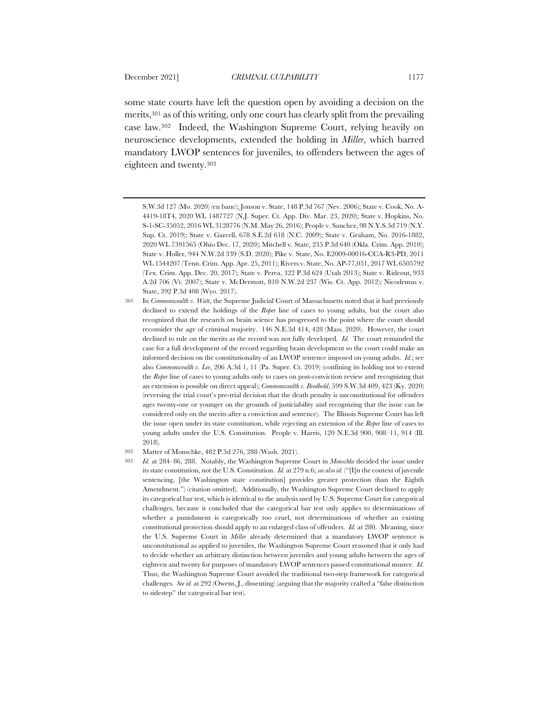some state courts have left the question open by avoiding a decision on the merits,301 as of this writing, only one court has clearly split from the prevailing case law.302 Indeed, the Washington Supreme Court, relying heavily on neuroscience developments, extended the holding in *Miller*, which barred mandatory LWOP sentences for juveniles, to offenders between the ages of eighteen and twenty.303

S.W.3d 127 (Mo. 2020) (en banc); Jonson v. State, 148 P.3d 767 (Nev. 2006); State v. Cook, No. A-4419-18T4, 2020 WL 1487727 (N.J. Super. Ct. App. Div. Mar. 23, 2020); State v. Hopkins, No. S-1-SC-35052, 2016 WL 3128776 (N.M. May 26, 2016); People v. Sanchez, 98 N.Y.S.3d 719 (N.Y. Sup. Ct. 2019); State v. Garcell, 678 S.E.2d 618 (N.C. 2009); State v. Graham, No. 2016-1882, 2020 WL 7391565 (Ohio Dec. 17, 2020); Mitchell v. State, 235 P.3d 640 (Okla. Crim. App. 2010); State v. Holler, 944 N.W.2d 339 (S.D. 2020); Pike v. State, No. E2009-00016-CCA-R3-PD, 2011 WL 1544207 (Tenn. Crim. App. Apr. 25, 2011); Rivers v. State, No. AP-77,051, 2017 WL 6505792 (Tex. Crim. App. Dec. 20, 2017); State v. Perea, 322 P.3d 624 (Utah 2013); State v. Rideout, 933 A.2d 706 (Vt. 2007); State v. McDermott, 810 N.W.2d 237 (Wis. Ct. App. 2012); Nicodemus v. State, 392 P.3d 408 (Wyo. 2017).

<sup>301</sup> In *Commonwealth v. Watt*, the Supreme Judicial Court of Massachusetts noted that it had previously declined to extend the holdings of the *Roper* line of cases to young adults, but the court also recognized that the research on brain science has progressed to the point where the court should reconsider the age of criminal majority. 146 N.E.3d 414, 428 (Mass. 2020). However, the court declined to rule on the merits as the record was not fully developed. *Id.* The court remanded the case for a full development of the record regarding brain development so the court could make an informed decision on the constitutionality of an LWOP sentence imposed on young adults. *Id.*; see also *Commonwealth v. Lee*, 206 A.3d 1, 11 (Pa. Super. Ct. 2019) (confining its holding not to extend the *Roper* line of cases to young adults only to cases on post-conviction review and recognizing that an extension is possible on direct appeal); *Commonwealth v. Bredhold*, 599 S.W.3d 409, 423 (Ky. 2020) (reversing the trial court's pre-trial decision that the death penalty is unconstitutional for offenders ages twenty-one or younger on the grounds of justiciability and recognizing that the issue can be considered only on the merits after a conviction and sentence). The Illinois Supreme Court has left the issue open under its state constitution, while rejecting an extension of the *Roper* line of cases to young adults under the U.S. Constitution. People v. Harris, 120 N.E.3d 900, 908–11, 914 (Ill. 2018).

<sup>302</sup> Matter of Monschke, 482 P.3d 276, 288 (Wash. 2021).

<sup>303</sup> *Id.* at 284–86, 288. Notably, the Washington Supreme Court in *Monschke* decided the issue under its state constitution, not the U.S. Constitution. *Id.* at 279 n.6; *see also id.* ("[I]n the context of juvenile sentencing, [the Washington state constitution] provides greater protection than the Eighth Amendment.") (citation omitted). Additionally, the Washington Supreme Court declined to apply its categorical bar test, which is identical to the analysis used by U.S. Supreme Court for categorical challenges, because it concluded that the categorical bar test only applies to determinations of whether a punishment is categorically too cruel, not determinations of whether an existing constitutional protection should apply to an enlarged class of offenders. *Id.* at 280. Meaning, since the U.S. Supreme Court in *Miller* already determined that a mandatory LWOP sentence is unconstitutional as applied to juveniles, the Washington Supreme Court reasoned that it only had to decide whether an arbitrary distinction between juveniles and young adults between the ages of eighteen and twenty for purposes of mandatory LWOP sentences passed constitutional muster. *Id.*  Thus, the Washington Supreme Court avoided the traditional two-step framework for categorical challenges. *See id.* at 292 (Owens, J., dissenting) (arguing that the majority crafted a "false distinction to sidestep" the categorical bar test).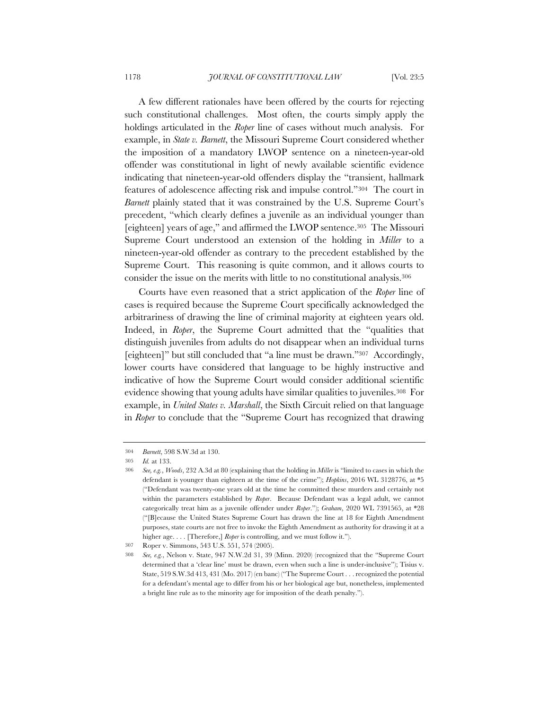A few different rationales have been offered by the courts for rejecting such constitutional challenges. Most often, the courts simply apply the holdings articulated in the *Roper* line of cases without much analysis. For example, in *State v. Barnett*, the Missouri Supreme Court considered whether the imposition of a mandatory LWOP sentence on a nineteen-year-old offender was constitutional in light of newly available scientific evidence indicating that nineteen-year-old offenders display the "transient, hallmark features of adolescence affecting risk and impulse control."304 The court in *Barnett* plainly stated that it was constrained by the U.S. Supreme Court's precedent, "which clearly defines a juvenile as an individual younger than [eighteen] years of age," and affirmed the LWOP sentence.305 The Missouri Supreme Court understood an extension of the holding in *Miller* to a nineteen-year-old offender as contrary to the precedent established by the Supreme Court. This reasoning is quite common, and it allows courts to consider the issue on the merits with little to no constitutional analysis.306

Courts have even reasoned that a strict application of the *Roper* line of cases is required because the Supreme Court specifically acknowledged the arbitrariness of drawing the line of criminal majority at eighteen years old. Indeed, in *Roper*, the Supreme Court admitted that the "qualities that distinguish juveniles from adults do not disappear when an individual turns [eighteen]" but still concluded that "a line must be drawn."307 Accordingly, lower courts have considered that language to be highly instructive and indicative of how the Supreme Court would consider additional scientific evidence showing that young adults have similar qualities to juveniles.308 For example, in *United States v. Marshall*, the Sixth Circuit relied on that language in *Roper* to conclude that the "Supreme Court has recognized that drawing

<sup>304</sup> *Barnett*, 598 S.W.3d at 130.

<sup>305</sup> *Id.* at 133.

<sup>306</sup> *See, e.g.*, *Woods*, 232 A.3d at 80 (explaining that the holding in *Miller* is "limited to cases in which the defendant is younger than eighteen at the time of the crime"); *Hopkins*, 2016 WL 3128776, at \*5 ("Defendant was twenty-one years old at the time he committed these murders and certainly not within the parameters established by *Roper*. Because Defendant was a legal adult, we cannot categorically treat him as a juvenile offender under *Roper*."); *Graham*, 2020 WL 7391565, at \*28 ("[B]ecause the United States Supreme Court has drawn the line at 18 for Eighth Amendment purposes, state courts are not free to invoke the Eighth Amendment as authority for drawing it at a higher age. . . . [Therefore,] *Roper* is controlling, and we must follow it.").

<sup>307</sup> Roper v. Simmons, 543 U.S. 551, 574 (2005).

<sup>308</sup> *See, e.g.*, Nelson v. State, 947 N.W.2d 31, 39 (Minn. 2020) (recognized that the "Supreme Court determined that a 'clear line' must be drawn, even when such a line is under-inclusive"); Tisius v. State, 519 S.W.3d 413, 431 (Mo. 2017) (en banc) ("The Supreme Court . . . recognized the potential for a defendant's mental age to differ from his or her biological age but, nonetheless, implemented a bright line rule as to the minority age for imposition of the death penalty.").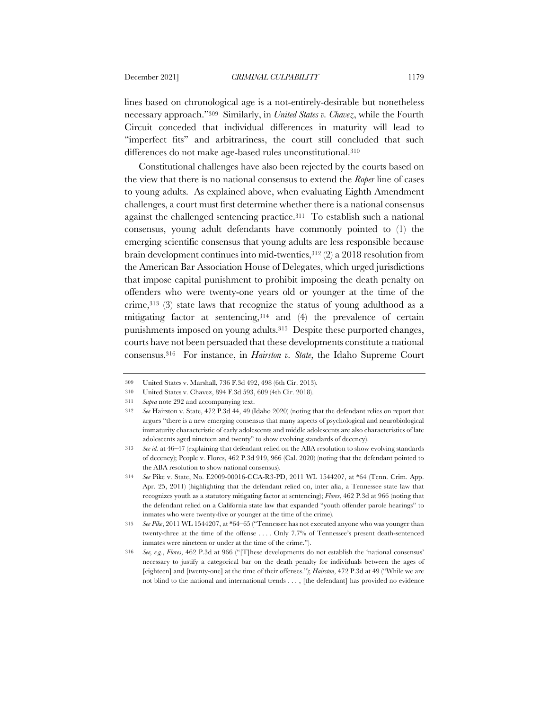lines based on chronological age is a not-entirely-desirable but nonetheless necessary approach."309 Similarly, in *United States v. Chavez*, while the Fourth Circuit conceded that individual differences in maturity will lead to "imperfect fits" and arbitrariness, the court still concluded that such differences do not make age-based rules unconstitutional.310

Constitutional challenges have also been rejected by the courts based on the view that there is no national consensus to extend the *Roper* line of cases to young adults. As explained above, when evaluating Eighth Amendment challenges, a court must first determine whether there is a national consensus against the challenged sentencing practice.311 To establish such a national consensus, young adult defendants have commonly pointed to (1) the emerging scientific consensus that young adults are less responsible because brain development continues into mid-twenties,  $312$  (2) a 2018 resolution from the American Bar Association House of Delegates, which urged jurisdictions that impose capital punishment to prohibit imposing the death penalty on offenders who were twenty-one years old or younger at the time of the crime,313 (3) state laws that recognize the status of young adulthood as a mitigating factor at sentencing,314 and (4) the prevalence of certain punishments imposed on young adults.315 Despite these purported changes, courts have not been persuaded that these developments constitute a national consensus.316 For instance, in *Hairston v. State*, the Idaho Supreme Court

<sup>309</sup> United States v. Marshall, 736 F.3d 492, 498 (6th Cir. 2013).

<sup>310</sup> United States v. Chavez, 894 F.3d 593, 609 (4th Cir. 2018).

<sup>311</sup> *Supra* note 292 and accompanying text.

<sup>312</sup> *See* Hairston v. State, 472 P.3d 44, 49 (Idaho 2020) (noting that the defendant relies on report that argues "there is a new emerging consensus that many aspects of psychological and neurobiological immaturity characteristic of early adolescents and middle adolescents are also characteristics of late adolescents aged nineteen and twenty" to show evolving standards of decency).

<sup>313</sup> *See id.* at 46–47 (explaining that defendant relied on the ABA resolution to show evolving standards of decency); People v. Flores, 462 P.3d 919, 966 (Cal. 2020) (noting that the defendant pointed to the ABA resolution to show national consensus).

<sup>314</sup> *See* Pike v. State, No. E2009-00016-CCA-R3-PD, 2011 WL 1544207, at \*64 (Tenn. Crim. App. Apr. 25, 2011) (highlighting that the defendant relied on, inter alia, a Tennessee state law that recognizes youth as a statutory mitigating factor at sentencing); *Flores*, 462 P.3d at 966 (noting that the defendant relied on a California state law that expanded "youth offender parole hearings" to inmates who were twenty-five or younger at the time of the crime).

<sup>315</sup> *See Pike*, 2011 WL 1544207, at \*64–65 ("Tennessee has not executed anyone who was younger than twenty-three at the time of the offense . . . . Only 7.7% of Tennessee's present death-sentenced inmates were nineteen or under at the time of the crime.").

<sup>316</sup> *See, e.g.*, *Flores*, 462 P.3d at 966 ("[T]hese developments do not establish the 'national consensus' necessary to justify a categorical bar on the death penalty for individuals between the ages of [eighteen] and [twenty-one] at the time of their offenses."); *Hairston*, 472 P.3d at 49 ("While we are not blind to the national and international trends . . . , [the defendant] has provided no evidence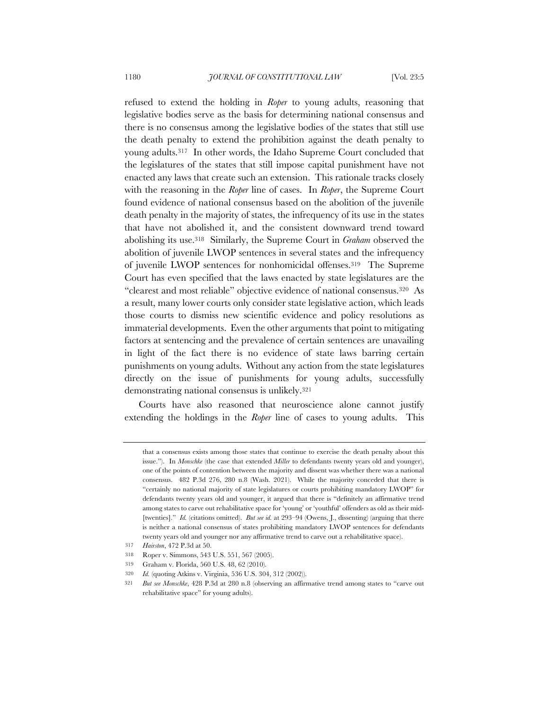refused to extend the holding in *Roper* to young adults, reasoning that legislative bodies serve as the basis for determining national consensus and there is no consensus among the legislative bodies of the states that still use the death penalty to extend the prohibition against the death penalty to young adults.317 In other words, the Idaho Supreme Court concluded that the legislatures of the states that still impose capital punishment have not enacted any laws that create such an extension. This rationale tracks closely with the reasoning in the *Roper* line of cases. In *Roper*, the Supreme Court found evidence of national consensus based on the abolition of the juvenile death penalty in the majority of states, the infrequency of its use in the states that have not abolished it, and the consistent downward trend toward abolishing its use.318 Similarly, the Supreme Court in *Graham* observed the abolition of juvenile LWOP sentences in several states and the infrequency of juvenile LWOP sentences for nonhomicidal offenses.319 The Supreme Court has even specified that the laws enacted by state legislatures are the "clearest and most reliable" objective evidence of national consensus.320 As a result, many lower courts only consider state legislative action, which leads those courts to dismiss new scientific evidence and policy resolutions as immaterial developments. Even the other arguments that point to mitigating factors at sentencing and the prevalence of certain sentences are unavailing in light of the fact there is no evidence of state laws barring certain punishments on young adults. Without any action from the state legislatures directly on the issue of punishments for young adults, successfully demonstrating national consensus is unlikely.321

Courts have also reasoned that neuroscience alone cannot justify extending the holdings in the *Roper* line of cases to young adults. This

that a consensus exists among those states that continue to exercise the death penalty about this issue."). In *Monschke* (the case that extended *Miller* to defendants twenty years old and younger), one of the points of contention between the majority and dissent was whether there was a national consensus. 482 P.3d 276, 280 n.8 (Wash. 2021). While the majority conceded that there is "certainly no national majority of state legislatures or courts prohibiting mandatory LWOP" for defendants twenty years old and younger, it argued that there is "definitely an affirmative trend among states to carve out rehabilitative space for 'young' or 'youthful' offenders as old as their mid- [twenties]." *Id.* (citations omitted). *But see id.* at 293–94 (Owens, J., dissenting) (arguing that there is neither a national consensus of states prohibiting mandatory LWOP sentences for defendants twenty years old and younger nor any affirmative trend to carve out a rehabilitative space).

<sup>317</sup> *Hairston*, 472 P.3d at 50.

<sup>318</sup> Roper v. Simmons, 543 U.S. 551, 567 (2005).

<sup>319</sup> Graham v. Florida, 560 U.S. 48, 62 (2010).

<sup>320</sup> *Id.* (quoting Atkins v. Virginia, 536 U.S. 304, 312 (2002)).

<sup>321</sup> *But see Monschke*, 428 P.3d at 280 n.8 (observing an affirmative trend among states to "carve out rehabilitative space" for young adults).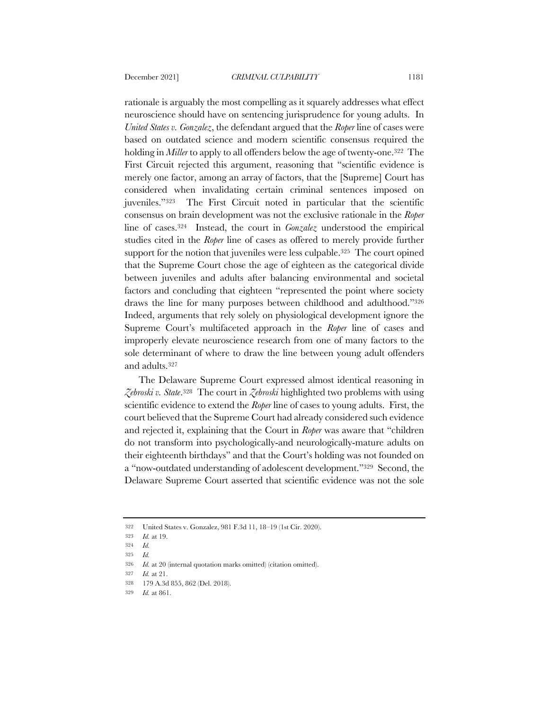rationale is arguably the most compelling as it squarely addresses what effect neuroscience should have on sentencing jurisprudence for young adults. In *United States v. Gonzalez*, the defendant argued that the *Roper* line of cases were based on outdated science and modern scientific consensus required the holding in *Miller* to apply to all offenders below the age of twenty-one.<sup>322</sup> The First Circuit rejected this argument, reasoning that "scientific evidence is merely one factor, among an array of factors, that the [Supreme] Court has considered when invalidating certain criminal sentences imposed on juveniles."323 The First Circuit noted in particular that the scientific consensus on brain development was not the exclusive rationale in the *Roper* line of cases.324 Instead, the court in *Gonzalez* understood the empirical studies cited in the *Roper* line of cases as offered to merely provide further support for the notion that juveniles were less culpable.<sup>325</sup> The court opined that the Supreme Court chose the age of eighteen as the categorical divide between juveniles and adults after balancing environmental and societal factors and concluding that eighteen "represented the point where society draws the line for many purposes between childhood and adulthood."326 Indeed, arguments that rely solely on physiological development ignore the Supreme Court's multifaceted approach in the *Roper* line of cases and improperly elevate neuroscience research from one of many factors to the sole determinant of where to draw the line between young adult offenders and adults.327

The Delaware Supreme Court expressed almost identical reasoning in *Zebroski v. State*.328 The court in *Zebroski* highlighted two problems with using scientific evidence to extend the *Roper* line of cases to young adults. First, the court believed that the Supreme Court had already considered such evidence and rejected it, explaining that the Court in *Roper* was aware that "children do not transform into psychologically-and neurologically-mature adults on their eighteenth birthdays" and that the Court's holding was not founded on a "now-outdated understanding of adolescent development."329 Second, the Delaware Supreme Court asserted that scientific evidence was not the sole

<sup>322</sup> United States v. Gonzalez, 981 F.3d 11, 18–19 (1st Cir. 2020).

<sup>323</sup> *Id.* at 19.

<sup>324</sup> *Id.*

<sup>325</sup> *Id.*

<sup>326</sup> *Id.* at 20 (internal quotation marks omitted) (citation omitted).

<sup>327</sup> *Id.* at 21.

<sup>328</sup> 179 A.3d 855, 862 (Del. 2018).

<sup>329</sup> *Id.* at 861.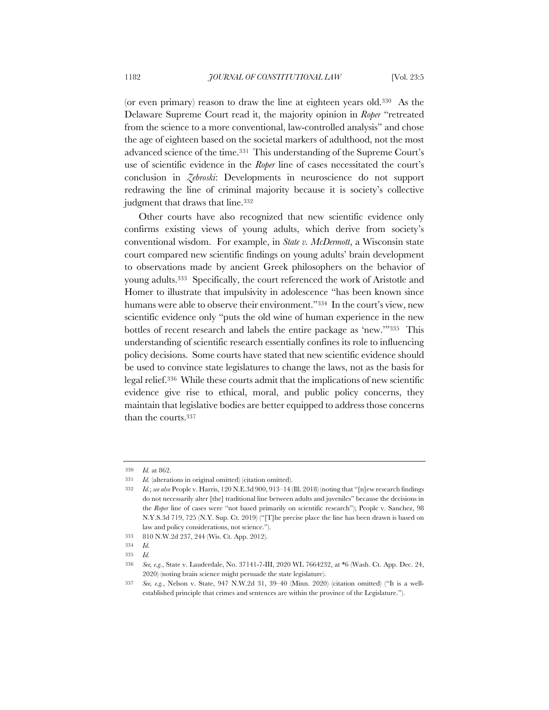(or even primary) reason to draw the line at eighteen years old.330 As the Delaware Supreme Court read it, the majority opinion in *Roper* "retreated from the science to a more conventional, law-controlled analysis" and chose the age of eighteen based on the societal markers of adulthood, not the most advanced science of the time.331 This understanding of the Supreme Court's use of scientific evidence in the *Roper* line of cases necessitated the court's conclusion in *Zebroski*: Developments in neuroscience do not support redrawing the line of criminal majority because it is society's collective judgment that draws that line.<sup>332</sup>

Other courts have also recognized that new scientific evidence only confirms existing views of young adults, which derive from society's conventional wisdom. For example, in *State v. McDermott*, a Wisconsin state court compared new scientific findings on young adults' brain development to observations made by ancient Greek philosophers on the behavior of young adults.333 Specifically, the court referenced the work of Aristotle and Homer to illustrate that impulsivity in adolescence "has been known since humans were able to observe their environment."334 In the court's view, new scientific evidence only "puts the old wine of human experience in the new bottles of recent research and labels the entire package as 'new.'"335 This understanding of scientific research essentially confines its role to influencing policy decisions. Some courts have stated that new scientific evidence should be used to convince state legislatures to change the laws, not as the basis for legal relief.336 While these courts admit that the implications of new scientific evidence give rise to ethical, moral, and public policy concerns, they maintain that legislative bodies are better equipped to address those concerns than the courts.337

<sup>330</sup> *Id.* at 862.

<sup>331</sup> *Id.* (alterations in original omitted) (citation omitted).

<sup>332</sup> *Id.*; *see also* People v. Harris, 120 N.E.3d 900, 913–14 (Ill. 2018) (noting that "[n]ew research findings do not necessarily alter [the] traditional line between adults and juveniles" because the decisions in the *Roper* line of cases were "not based primarily on scientific research"); People v. Sanchez, 98 N.Y.S.3d 719, 725 (N.Y. Sup. Ct. 2019) ("[T]he precise place the line has been drawn is based on law and policy considerations, not science.").

<sup>333</sup> 810 N.W.2d 237, 244 (Wis. Ct. App. 2012).

<sup>334</sup> *Id.*

<sup>335</sup> *Id.*

<sup>336</sup> *See, e.g.*, State v. Lauderdale, No. 37141-7-III, 2020 WL 7664232, at \*6 (Wash. Ct. App. Dec. 24, 2020) (noting brain science might persuade the state legislature).

<sup>337</sup> *See, e.g.*, Nelson v. State, 947 N.W.2d 31, 39–40 (Minn. 2020) (citation omitted) ("It is a wellestablished principle that crimes and sentences are within the province of the Legislature.").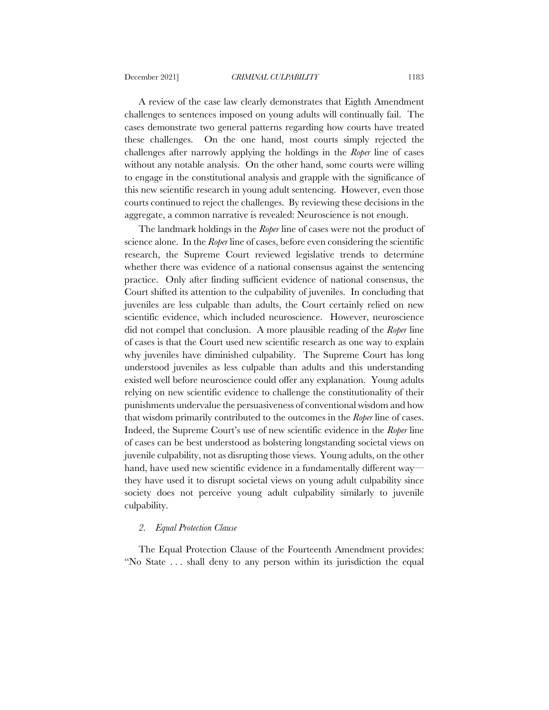A review of the case law clearly demonstrates that Eighth Amendment challenges to sentences imposed on young adults will continually fail. The cases demonstrate two general patterns regarding how courts have treated these challenges. On the one hand, most courts simply rejected the challenges after narrowly applying the holdings in the *Roper* line of cases without any notable analysis. On the other hand, some courts were willing to engage in the constitutional analysis and grapple with the significance of this new scientific research in young adult sentencing. However, even those courts continued to reject the challenges. By reviewing these decisions in the aggregate, a common narrative is revealed: Neuroscience is not enough.

The landmark holdings in the *Roper* line of cases were not the product of science alone. In the *Roper* line of cases, before even considering the scientific research, the Supreme Court reviewed legislative trends to determine whether there was evidence of a national consensus against the sentencing practice. Only after finding sufficient evidence of national consensus, the Court shifted its attention to the culpability of juveniles. In concluding that juveniles are less culpable than adults, the Court certainly relied on new scientific evidence, which included neuroscience. However, neuroscience did not compel that conclusion. A more plausible reading of the *Roper* line of cases is that the Court used new scientific research as one way to explain why juveniles have diminished culpability. The Supreme Court has long understood juveniles as less culpable than adults and this understanding existed well before neuroscience could offer any explanation. Young adults relying on new scientific evidence to challenge the constitutionality of their punishments undervalue the persuasiveness of conventional wisdom and how that wisdom primarily contributed to the outcomes in the *Roper* line of cases. Indeed, the Supreme Court's use of new scientific evidence in the *Roper* line of cases can be best understood as bolstering longstanding societal views on juvenile culpability, not as disrupting those views. Young adults, on the other hand, have used new scientific evidence in a fundamentally different way they have used it to disrupt societal views on young adult culpability since society does not perceive young adult culpability similarly to juvenile culpability.

### *2. Equal Protection Clause*

The Equal Protection Clause of the Fourteenth Amendment provides: "No State . . . shall deny to any person within its jurisdiction the equal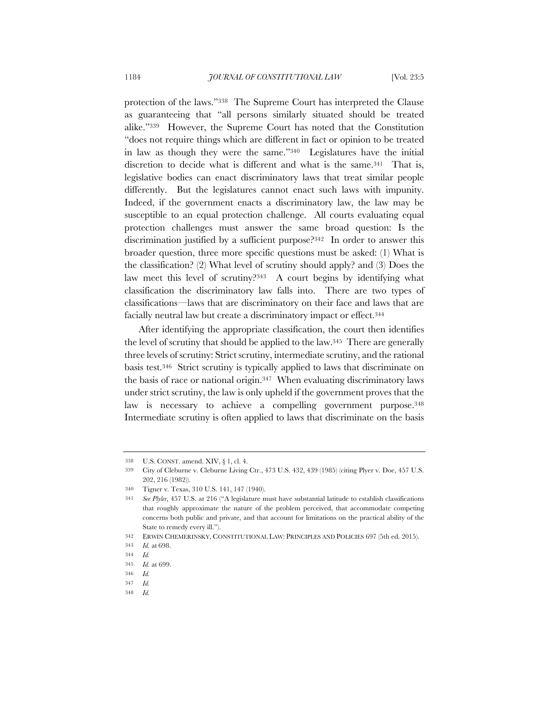protection of the laws."338 The Supreme Court has interpreted the Clause as guaranteeing that "all persons similarly situated should be treated alike."339 However, the Supreme Court has noted that the Constitution "does not require things which are different in fact or opinion to be treated in law as though they were the same."340 Legislatures have the initial discretion to decide what is different and what is the same.<sup>341</sup> That is, legislative bodies can enact discriminatory laws that treat similar people differently. But the legislatures cannot enact such laws with impunity. Indeed, if the government enacts a discriminatory law, the law may be susceptible to an equal protection challenge. All courts evaluating equal protection challenges must answer the same broad question: Is the discrimination justified by a sufficient purpose?342 In order to answer this broader question, three more specific questions must be asked: (1) What is the classification? (2) What level of scrutiny should apply? and (3) Does the law meet this level of scrutiny?343 A court begins by identifying what classification the discriminatory law falls into. There are two types of classifications—laws that are discriminatory on their face and laws that are facially neutral law but create a discriminatory impact or effect.344

After identifying the appropriate classification, the court then identifies the level of scrutiny that should be applied to the law.345 There are generally three levels of scrutiny: Strict scrutiny, intermediate scrutiny, and the rational basis test.346 Strict scrutiny is typically applied to laws that discriminate on the basis of race or national origin.347 When evaluating discriminatory laws under strict scrutiny, the law is only upheld if the government proves that the law is necessary to achieve a compelling government purpose.<sup>348</sup> Intermediate scrutiny is often applied to laws that discriminate on the basis

<sup>338</sup> U.S. CONST. amend. XIV, § 1, cl. 4.

<sup>339</sup> City of Cleburne v. Cleburne Living Ctr., 473 U.S. 432, 439 (1985) (citing Plyer v. Doe, 457 U.S. 202, 216 (1982)).

<sup>340</sup> Tigner v. Texas, 310 U.S. 141, 147 (1940).

<sup>341</sup> *See Plyler*, 457 U.S. at 216 ("A legislature must have substantial latitude to establish classifications that roughly approximate the nature of the problem perceived, that accommodate competing concerns both public and private, and that account for limitations on the practical ability of the State to remedy every ill.").

<sup>342</sup> ERWIN CHEMERINSKY, CONSTITUTIONAL LAW: PRINCIPLES AND POLICIES 697 (5th ed. 2015).

<sup>343</sup> *Id.* at 698.

<sup>344</sup> *Id.*

<sup>345</sup> *Id.* at 699.

<sup>346</sup> *Id.*

<sup>347</sup> *Id.*

<sup>348</sup> *Id.*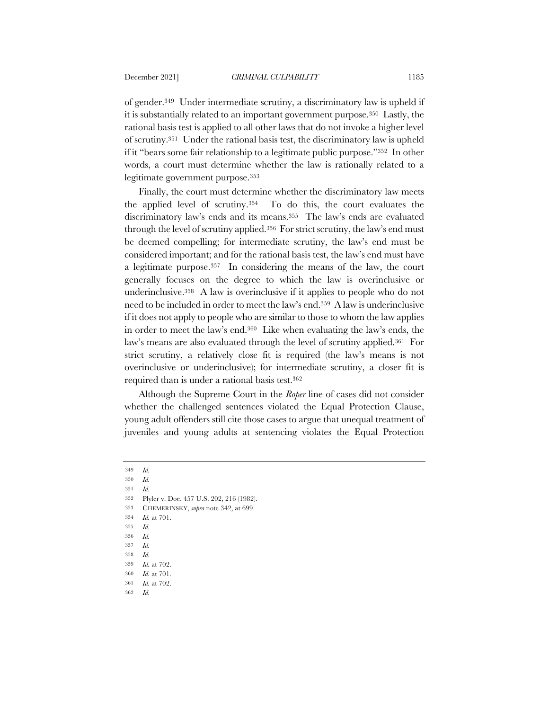of gender.349 Under intermediate scrutiny, a discriminatory law is upheld if it is substantially related to an important government purpose.350 Lastly, the rational basis test is applied to all other laws that do not invoke a higher level of scrutiny.351 Under the rational basis test, the discriminatory law is upheld if it "bears some fair relationship to a legitimate public purpose."352 In other words, a court must determine whether the law is rationally related to a legitimate government purpose.353

Finally, the court must determine whether the discriminatory law meets the applied level of scrutiny.354 To do this, the court evaluates the discriminatory law's ends and its means.355 The law's ends are evaluated through the level of scrutiny applied.356 For strict scrutiny, the law's end must be deemed compelling; for intermediate scrutiny, the law's end must be considered important; and for the rational basis test, the law's end must have a legitimate purpose.357 In considering the means of the law, the court generally focuses on the degree to which the law is overinclusive or underinclusive.358 A law is overinclusive if it applies to people who do not need to be included in order to meet the law's end.359 A law is underinclusive if it does not apply to people who are similar to those to whom the law applies in order to meet the law's end.360 Like when evaluating the law's ends, the law's means are also evaluated through the level of scrutiny applied.361 For strict scrutiny, a relatively close fit is required (the law's means is not overinclusive or underinclusive); for intermediate scrutiny, a closer fit is required than is under a rational basis test.362

Although the Supreme Court in the *Roper* line of cases did not consider whether the challenged sentences violated the Equal Protection Clause, young adult offenders still cite those cases to argue that unequal treatment of juveniles and young adults at sentencing violates the Equal Protection

- 353 CHEMERINSKY, *supra* note 342, at 699.
- 354 *Id.* at 701.
- 355 *Id.*
- 356 *Id.*
- 357 *Id.*
- 358 *Id.*
- 359 *Id.* at 702.
- 360 *Id.* at 701.
- 361 *Id.* at 702.
- 362 *Id.*

<sup>349</sup> *Id.*

<sup>350</sup> *Id.*

<sup>351</sup> *Id.*

<sup>352</sup> Plyler v. Doe, 457 U.S. 202, 216 (1982).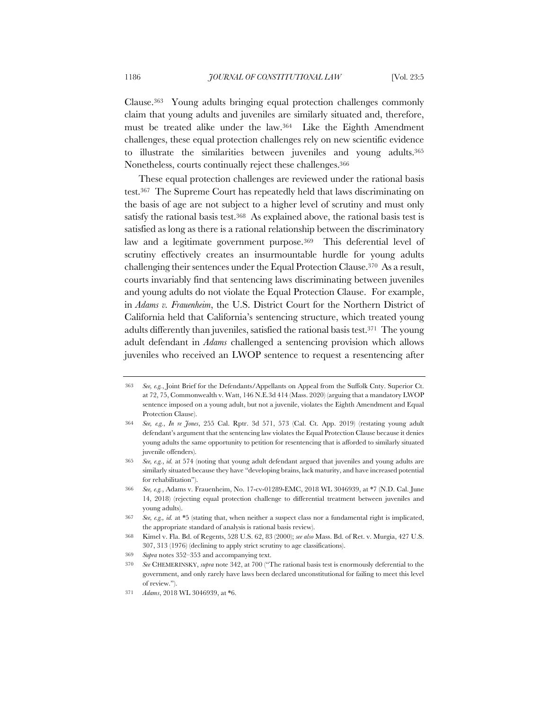Clause.363 Young adults bringing equal protection challenges commonly claim that young adults and juveniles are similarly situated and, therefore, must be treated alike under the law.364 Like the Eighth Amendment challenges, these equal protection challenges rely on new scientific evidence to illustrate the similarities between juveniles and young adults.365 Nonetheless, courts continually reject these challenges.366

These equal protection challenges are reviewed under the rational basis test.367 The Supreme Court has repeatedly held that laws discriminating on the basis of age are not subject to a higher level of scrutiny and must only satisfy the rational basis test.<sup>368</sup> As explained above, the rational basis test is satisfied as long as there is a rational relationship between the discriminatory law and a legitimate government purpose.369 This deferential level of scrutiny effectively creates an insurmountable hurdle for young adults challenging their sentences under the Equal Protection Clause.370 As a result, courts invariably find that sentencing laws discriminating between juveniles and young adults do not violate the Equal Protection Clause. For example, in *Adams v. Frauenheim*, the U.S. District Court for the Northern District of California held that California's sentencing structure, which treated young adults differently than juveniles, satisfied the rational basis test.371 The young adult defendant in *Adams* challenged a sentencing provision which allows juveniles who received an LWOP sentence to request a resentencing after

<sup>363</sup> *See, e.g.*, Joint Brief for the Defendants/Appellants on Appeal from the Suffolk Cnty. Superior Ct. at 72, 75, Commonwealth v. Watt, 146 N.E.3d 414 (Mass. 2020) (arguing that a mandatory LWOP sentence imposed on a young adult, but not a juvenile, violates the Eighth Amendment and Equal Protection Clause).

<sup>364</sup> *See, e.g.*, *In re Jones*, 255 Cal. Rptr. 3d 571, 573 (Cal. Ct. App. 2019) (restating young adult defendant's argument that the sentencing law violates the Equal Protection Clause because it denies young adults the same opportunity to petition for resentencing that is afforded to similarly situated juvenile offenders).

<sup>365</sup> *See, e.g.*, *id.* at 574 (noting that young adult defendant argued that juveniles and young adults are similarly situated because they have "developing brains, lack maturity, and have increased potential for rehabilitation").

<sup>366</sup> *See, e.g.*, Adams v. Frauenheim, No. 17-cv-01289-EMC, 2018 WL 3046939, at \*7 (N.D. Cal. June 14, 2018) (rejecting equal protection challenge to differential treatment between juveniles and young adults).

<sup>367</sup> *See, e.g., id.* at \*5 (stating that, when neither a suspect class nor a fundamental right is implicated, the appropriate standard of analysis is rational basis review).

<sup>368</sup> Kimel v. Fla. Bd. of Regents, 528 U.S. 62, 83 (2000); *see also* Mass. Bd. of Ret. v. Murgia, 427 U.S. 307, 313 (1976) (declining to apply strict scrutiny to age classifications).

<sup>369</sup> *Supra* notes 352–353 and accompanying text.

<sup>370</sup> *See* CHEMERINSKY, *supra* note 342, at 700 ("The rational basis test is enormously deferential to the government, and only rarely have laws been declared unconstitutional for failing to meet this level of review.").

<sup>371</sup> *Adams*, 2018 WL 3046939, at \*6.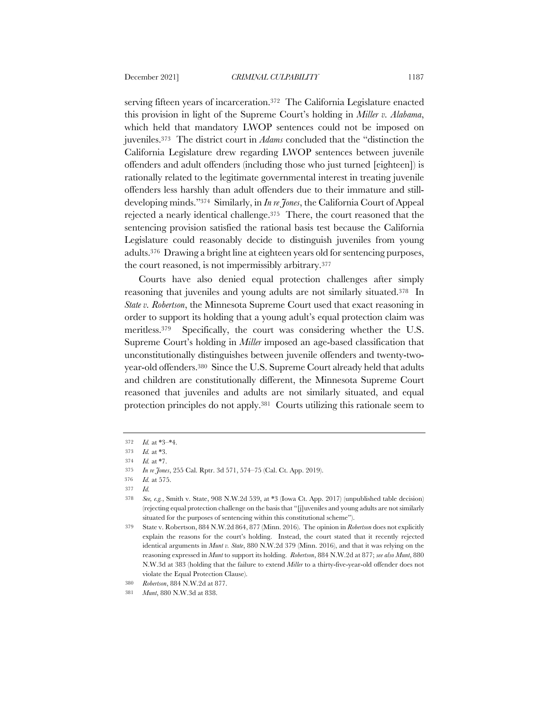serving fifteen years of incarceration.372 The California Legislature enacted this provision in light of the Supreme Court's holding in *Miller v. Alabama*, which held that mandatory LWOP sentences could not be imposed on juveniles.373 The district court in *Adams* concluded that the "distinction the California Legislature drew regarding LWOP sentences between juvenile offenders and adult offenders (including those who just turned [eighteen]) is rationally related to the legitimate governmental interest in treating juvenile offenders less harshly than adult offenders due to their immature and stilldeveloping minds."374 Similarly, in *In re Jones*, the California Court of Appeal rejected a nearly identical challenge.375 There, the court reasoned that the sentencing provision satisfied the rational basis test because the California Legislature could reasonably decide to distinguish juveniles from young adults.376 Drawing a bright line at eighteen years old for sentencing purposes, the court reasoned, is not impermissibly arbitrary.377

Courts have also denied equal protection challenges after simply reasoning that juveniles and young adults are not similarly situated.378 In *State v. Robertson*, the Minnesota Supreme Court used that exact reasoning in order to support its holding that a young adult's equal protection claim was meritless.379 Specifically, the court was considering whether the U.S. Supreme Court's holding in *Miller* imposed an age-based classification that unconstitutionally distinguishes between juvenile offenders and twenty-twoyear-old offenders.380 Since the U.S. Supreme Court already held that adults and children are constitutionally different, the Minnesota Supreme Court reasoned that juveniles and adults are not similarly situated, and equal protection principles do not apply.381 Courts utilizing this rationale seem to

<sup>372</sup> *Id.* at \*3–\*4.

<sup>373</sup> *Id.* at \*3.

<sup>374</sup> *Id.* at \*7.

<sup>375</sup> *In re Jones*, 255 Cal. Rptr. 3d 571, 574–75 (Cal. Ct. App. 2019).

<sup>376</sup> *Id.* at 575.

<sup>377</sup> *Id.*

<sup>378</sup> *See, e.g.*, Smith v. State, 908 N.W.2d 539, at \*3 (Iowa Ct. App. 2017) (unpublished table decision) (rejecting equal protection challenge on the basis that "[j]uveniles and young adults are not similarly situated for the purposes of sentencing within this constitutional scheme").

<sup>379</sup> State v. Robertson, 884 N.W.2d 864, 877 (Minn. 2016). The opinion in *Robertson* does not explicitly explain the reasons for the court's holding. Instead, the court stated that it recently rejected identical arguments in *Munt v. State*, 880 N.W.2d 379 (Minn. 2016), and that it was relying on the reasoning expressed in *Munt* to support its holding. *Robertson*, 884 N.W.2d at 877; *see also Munt*, 880 N.W.3d at 383 (holding that the failure to extend *Miller* to a thirty-five-year-old offender does not violate the Equal Protection Clause).

<sup>380</sup> *Robertson*, 884 N.W.2d at 877.

<sup>381</sup> *Munt*, 880 N.W.3d at 838.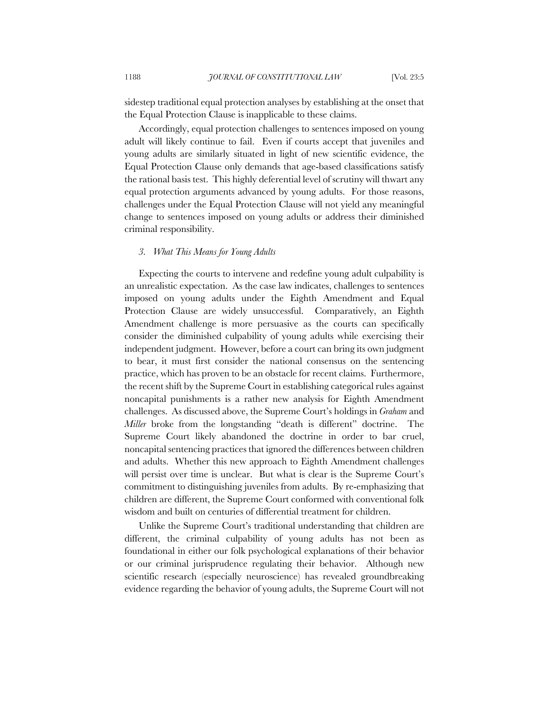sidestep traditional equal protection analyses by establishing at the onset that the Equal Protection Clause is inapplicable to these claims.

Accordingly, equal protection challenges to sentences imposed on young adult will likely continue to fail. Even if courts accept that juveniles and young adults are similarly situated in light of new scientific evidence, the Equal Protection Clause only demands that age-based classifications satisfy the rational basis test. This highly deferential level of scrutiny will thwart any equal protection arguments advanced by young adults. For those reasons, challenges under the Equal Protection Clause will not yield any meaningful change to sentences imposed on young adults or address their diminished criminal responsibility.

# *3. What This Means for Young Adults*

Expecting the courts to intervene and redefine young adult culpability is an unrealistic expectation. As the case law indicates, challenges to sentences imposed on young adults under the Eighth Amendment and Equal Protection Clause are widely unsuccessful. Comparatively, an Eighth Amendment challenge is more persuasive as the courts can specifically consider the diminished culpability of young adults while exercising their independent judgment. However, before a court can bring its own judgment to bear, it must first consider the national consensus on the sentencing practice, which has proven to be an obstacle for recent claims. Furthermore, the recent shift by the Supreme Court in establishing categorical rules against noncapital punishments is a rather new analysis for Eighth Amendment challenges. As discussed above, the Supreme Court's holdings in *Graham* and *Miller* broke from the longstanding "death is different" doctrine. The Supreme Court likely abandoned the doctrine in order to bar cruel, noncapital sentencing practices that ignored the differences between children and adults. Whether this new approach to Eighth Amendment challenges will persist over time is unclear. But what is clear is the Supreme Court's commitment to distinguishing juveniles from adults. By re-emphasizing that children are different, the Supreme Court conformed with conventional folk wisdom and built on centuries of differential treatment for children.

Unlike the Supreme Court's traditional understanding that children are different, the criminal culpability of young adults has not been as foundational in either our folk psychological explanations of their behavior or our criminal jurisprudence regulating their behavior. Although new scientific research (especially neuroscience) has revealed groundbreaking evidence regarding the behavior of young adults, the Supreme Court will not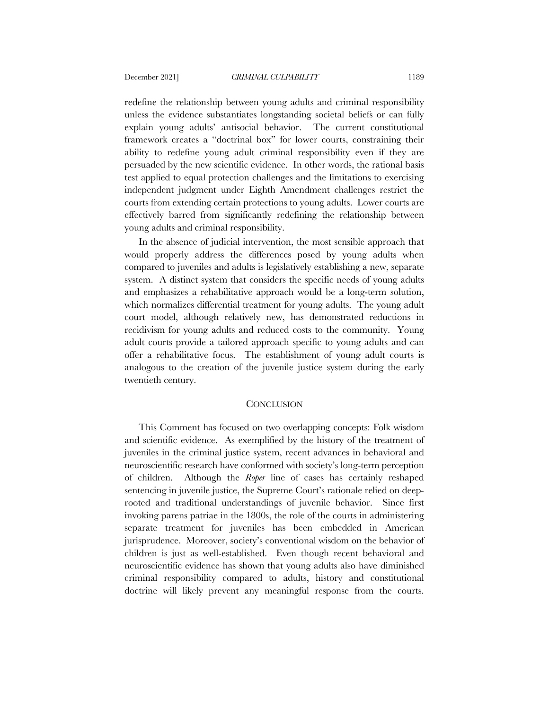redefine the relationship between young adults and criminal responsibility unless the evidence substantiates longstanding societal beliefs or can fully explain young adults' antisocial behavior. The current constitutional framework creates a "doctrinal box" for lower courts, constraining their ability to redefine young adult criminal responsibility even if they are persuaded by the new scientific evidence. In other words, the rational basis test applied to equal protection challenges and the limitations to exercising independent judgment under Eighth Amendment challenges restrict the courts from extending certain protections to young adults. Lower courts are effectively barred from significantly redefining the relationship between young adults and criminal responsibility.

In the absence of judicial intervention, the most sensible approach that would properly address the differences posed by young adults when compared to juveniles and adults is legislatively establishing a new, separate system. A distinct system that considers the specific needs of young adults and emphasizes a rehabilitative approach would be a long-term solution, which normalizes differential treatment for young adults. The young adult court model, although relatively new, has demonstrated reductions in recidivism for young adults and reduced costs to the community. Young adult courts provide a tailored approach specific to young adults and can offer a rehabilitative focus. The establishment of young adult courts is analogous to the creation of the juvenile justice system during the early twentieth century.

### **CONCLUSION**

This Comment has focused on two overlapping concepts: Folk wisdom and scientific evidence. As exemplified by the history of the treatment of juveniles in the criminal justice system, recent advances in behavioral and neuroscientific research have conformed with society's long-term perception of children. Although the *Roper* line of cases has certainly reshaped sentencing in juvenile justice, the Supreme Court's rationale relied on deeprooted and traditional understandings of juvenile behavior. Since first invoking parens patriae in the 1800s, the role of the courts in administering separate treatment for juveniles has been embedded in American jurisprudence. Moreover, society's conventional wisdom on the behavior of children is just as well-established. Even though recent behavioral and neuroscientific evidence has shown that young adults also have diminished criminal responsibility compared to adults, history and constitutional doctrine will likely prevent any meaningful response from the courts.